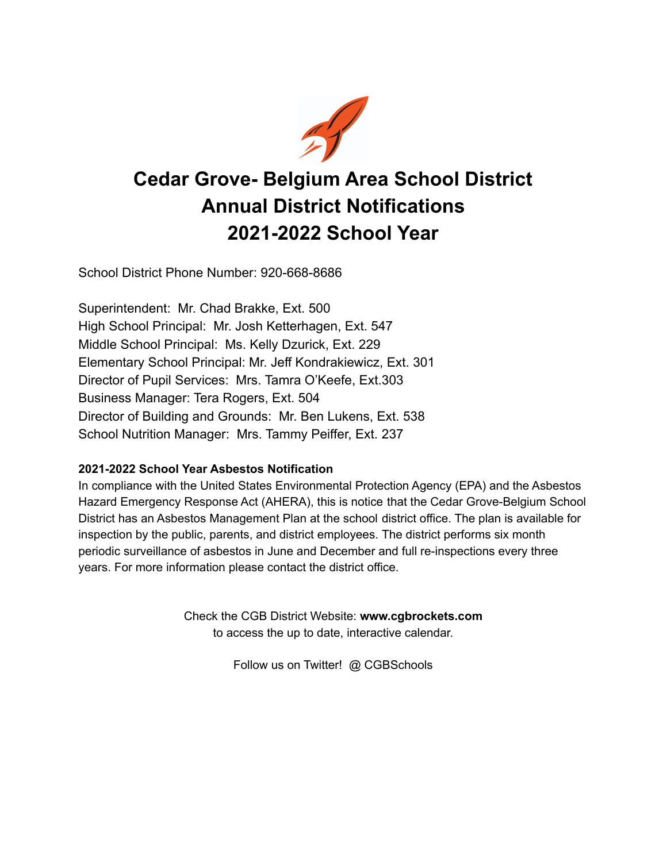

# **Cedar Grove- Belgium Area School District Annual District Notifications 2021-2022 School Year**

School District Phone Number: 920-668-8686

Superintendent: Mr. Chad Brakke, Ext. 500 High School Principal: Mr. Josh Ketterhagen, Ext. 547 Middle School Principal: Ms. Kelly Dzurick, Ext. 229 Elementary School Principal: Mr. Jeff Kondrakiewicz, Ext. 301 Director of Pupil Services: Mrs. Tamra O'Keefe, Ext.303 Business Manager: Tera Rogers, Ext. 504 Director of Building and Grounds: Mr. Ben Lukens, Ext. 538 School Nutrition Manager: Mrs. Tammy Peiffer, Ext. 237

# **2021-2022 School Year Asbestos Notification**

In compliance with the United States Environmental Protection Agency (EPA) and the Asbestos Hazard Emergency Response Act (AHERA), this is notice that the Cedar Grove-Belgium School District has an Asbestos Management Plan at the school district office. The plan is available for inspection by the public, parents, and district employees. The district performs six month periodic surveillance of asbestos in June and December and full re-inspections every three years. For more information please contact the district office.

> Check the CGB District Website: **www.cgbrockets.com** to access the up to date, interactive calendar.

> > Follow us on Twitter! @ CGBSchools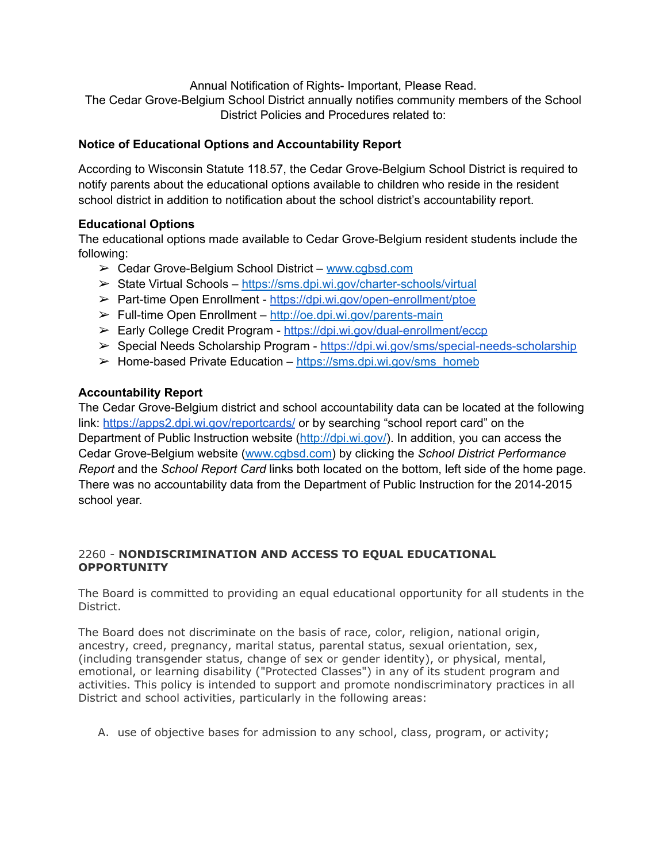Annual Notification of Rights- Important, Please Read.

The Cedar Grove-Belgium School District annually notifies community members of the School District Policies and Procedures related to:

# **Notice of Educational Options and Accountability Report**

According to Wisconsin Statute 118.57, the Cedar Grove-Belgium School District is required to notify parents about the educational options available to children who reside in the resident school district in addition to notification about the school district's accountability report.

# **Educational Options**

The educational options made available to Cedar Grove-Belgium resident students include the following:

- ➢ Cedar Grove-Belgium School District [www.cgbsd.com](http://www.cgbsd.com)
- ➢ State Virtual Schools [https://sms.dpi.wi.gov/charter-schools/virtual](https://dpi.wi.gov/sms/charter-schools/virtual-charter-schools)
- ➢ Part-time Open Enrollment <https://dpi.wi.gov/open-enrollment/ptoe>
- ➢ Full-time Open Enrollment [http://oe.dpi.wi.gov/parents-main](https://dpi.wi.gov/open-enrollment?rdt=oe)
- ➢ Early College Credit Program <https://dpi.wi.gov/dual-enrollment/eccp>
- ➢ Special Needs Scholarship Program <https://dpi.wi.gov/sms/special-needs-scholarship>
- $\triangleright$  Home-based Private Education [https://sms.dpi.wi.gov/sms\\_homeb](https://dpi.wi.gov/sms/home-based)

# **Accountability Report**

The Cedar Grove-Belgium district and school accountability data can be located at the following link: <https://apps2.dpi.wi.gov/reportcards/> or by searching "school report card" on the Department of Public Instruction website [\(http://dpi.wi.gov/\)](http://dpi.wi.gov/). In addition, you can access the Cedar Grove-Belgium website [\(www.cgbsd.com\)](http://www.cgbsd.com) by clicking the *School District Performance Report* and the *School Report Card* links both located on the bottom, left side of the home page. There was no accountability data from the Department of Public Instruction for the 2014-2015 school year.

# 2260 - **NONDISCRIMINATION AND ACCESS TO EQUAL EDUCATIONAL OPPORTUNITY**

The Board is committed to providing an equal educational opportunity for all students in the District.

The Board does not discriminate on the basis of race, color, religion, national origin, ancestry, creed, pregnancy, marital status, parental status, sexual orientation, sex, (including transgender status, change of sex or gender identity), or physical, mental, emotional, or learning disability ("Protected Classes") in any of its student program and activities. This policy is intended to support and promote nondiscriminatory practices in all District and school activities, particularly in the following areas:

A. use of objective bases for admission to any school, class, program, or activity;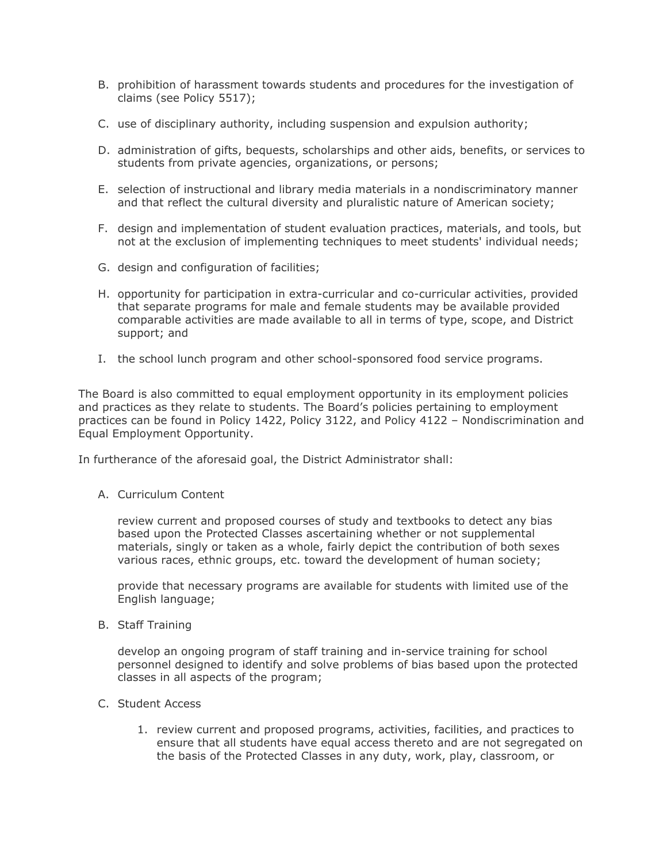- B. prohibition of harassment towards students and procedures for the investigation of claims (see Policy 5517);
- C. use of disciplinary authority, including suspension and expulsion authority;
- D. administration of gifts, bequests, scholarships and other aids, benefits, or services to students from private agencies, organizations, or persons;
- E. selection of instructional and library media materials in a nondiscriminatory manner and that reflect the cultural diversity and pluralistic nature of American society;
- F. design and implementation of student evaluation practices, materials, and tools, but not at the exclusion of implementing techniques to meet students' individual needs;
- G. design and configuration of facilities;
- H. opportunity for participation in extra-curricular and co-curricular activities, provided that separate programs for male and female students may be available provided comparable activities are made available to all in terms of type, scope, and District support; and
- I. the school lunch program and other school-sponsored food service programs.

The Board is also committed to equal employment opportunity in its employment policies and practices as they relate to students. The Board's policies pertaining to employment practices can be found in Policy 1422, Policy 3122, and Policy 4122 – Nondiscrimination and Equal Employment Opportunity.

In furtherance of the aforesaid goal, the District Administrator shall:

A. Curriculum Content

review current and proposed courses of study and textbooks to detect any bias based upon the Protected Classes ascertaining whether or not supplemental materials, singly or taken as a whole, fairly depict the contribution of both sexes various races, ethnic groups, etc. toward the development of human society;

provide that necessary programs are available for students with limited use of the English language;

B. Staff Training

develop an ongoing program of staff training and in-service training for school personnel designed to identify and solve problems of bias based upon the protected classes in all aspects of the program;

- C. Student Access
	- 1. review current and proposed programs, activities, facilities, and practices to ensure that all students have equal access thereto and are not segregated on the basis of the Protected Classes in any duty, work, play, classroom, or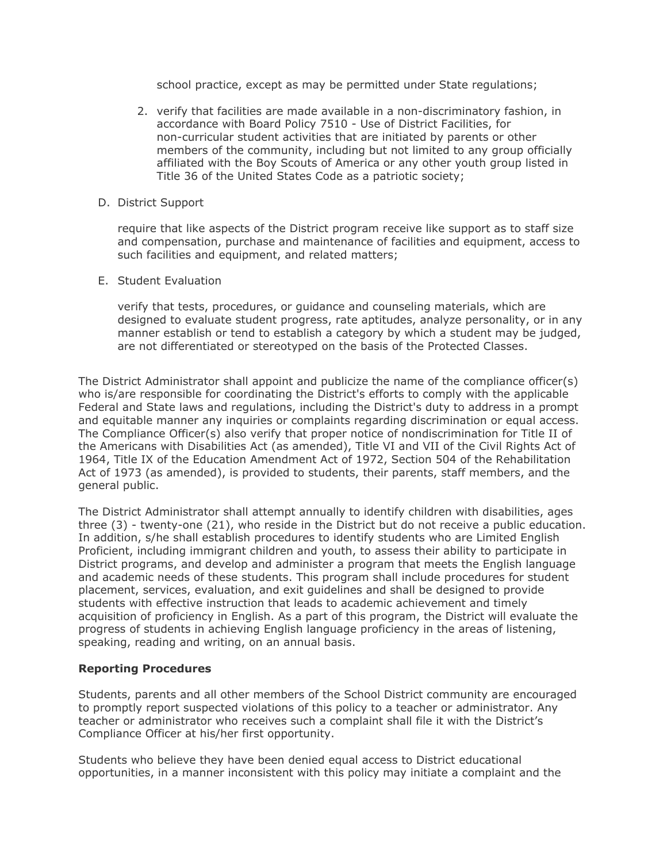school practice, except as may be permitted under State regulations;

- 2. verify that facilities are made available in a non-discriminatory fashion, in accordance with Board Policy 7510 - Use of District Facilities, for non-curricular student activities that are initiated by parents or other members of the community, including but not limited to any group officially affiliated with the Boy Scouts of America or any other youth group listed in Title 36 of the United States Code as a patriotic society;
- D. District Support

require that like aspects of the District program receive like support as to staff size and compensation, purchase and maintenance of facilities and equipment, access to such facilities and equipment, and related matters;

E. Student Evaluation

verify that tests, procedures, or guidance and counseling materials, which are designed to evaluate student progress, rate aptitudes, analyze personality, or in any manner establish or tend to establish a category by which a student may be judged, are not differentiated or stereotyped on the basis of the Protected Classes.

The District Administrator shall appoint and publicize the name of the compliance officer(s) who is/are responsible for coordinating the District's efforts to comply with the applicable Federal and State laws and regulations, including the District's duty to address in a prompt and equitable manner any inquiries or complaints regarding discrimination or equal access. The Compliance Officer(s) also verify that proper notice of nondiscrimination for Title II of the Americans with Disabilities Act (as amended), Title VI and VII of the Civil Rights Act of 1964, Title IX of the Education Amendment Act of 1972, Section 504 of the Rehabilitation Act of 1973 (as amended), is provided to students, their parents, staff members, and the general public.

The District Administrator shall attempt annually to identify children with disabilities, ages three (3) - twenty-one (21), who reside in the District but do not receive a public education. In addition, s/he shall establish procedures to identify students who are Limited English Proficient, including immigrant children and youth, to assess their ability to participate in District programs, and develop and administer a program that meets the English language and academic needs of these students. This program shall include procedures for student placement, services, evaluation, and exit guidelines and shall be designed to provide students with effective instruction that leads to academic achievement and timely acquisition of proficiency in English. As a part of this program, the District will evaluate the progress of students in achieving English language proficiency in the areas of listening, speaking, reading and writing, on an annual basis.

## **Reporting Procedures**

Students, parents and all other members of the School District community are encouraged to promptly report suspected violations of this policy to a teacher or administrator. Any teacher or administrator who receives such a complaint shall file it with the District's Compliance Officer at his/her first opportunity.

Students who believe they have been denied equal access to District educational opportunities, in a manner inconsistent with this policy may initiate a complaint and the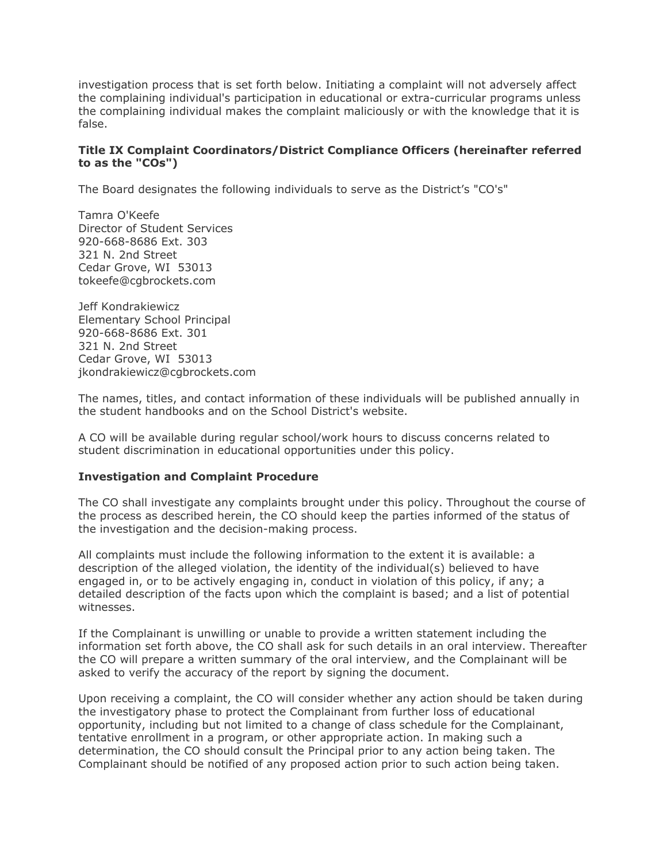investigation process that is set forth below. Initiating a complaint will not adversely affect the complaining individual's participation in educational or extra-curricular programs unless the complaining individual makes the complaint maliciously or with the knowledge that it is false.

## **Title IX Complaint Coordinators/District Compliance Officers (hereinafter referred to as the "COs")**

The Board designates the following individuals to serve as the District's "CO's"

Tamra O'Keefe Director of Student Services 920-668-8686 Ext. 303 321 N. 2nd Street Cedar Grove, WI 53013 tokeefe@cgbrockets.com

Jeff Kondrakiewicz Elementary School Principal 920-668-8686 Ext. 301 321 N. 2nd Street Cedar Grove, WI 53013 jkondrakiewicz@cgbrockets.com

The names, titles, and contact information of these individuals will be published annually in the student handbooks and on the School District's website.

A CO will be available during regular school/work hours to discuss concerns related to student discrimination in educational opportunities under this policy.

## **Investigation and Complaint Procedure**

The CO shall investigate any complaints brought under this policy. Throughout the course of the process as described herein, the CO should keep the parties informed of the status of the investigation and the decision-making process.

All complaints must include the following information to the extent it is available: a description of the alleged violation, the identity of the individual(s) believed to have engaged in, or to be actively engaging in, conduct in violation of this policy, if any; a detailed description of the facts upon which the complaint is based; and a list of potential witnesses.

If the Complainant is unwilling or unable to provide a written statement including the information set forth above, the CO shall ask for such details in an oral interview. Thereafter the CO will prepare a written summary of the oral interview, and the Complainant will be asked to verify the accuracy of the report by signing the document.

Upon receiving a complaint, the CO will consider whether any action should be taken during the investigatory phase to protect the Complainant from further loss of educational opportunity, including but not limited to a change of class schedule for the Complainant, tentative enrollment in a program, or other appropriate action. In making such a determination, the CO should consult the Principal prior to any action being taken. The Complainant should be notified of any proposed action prior to such action being taken.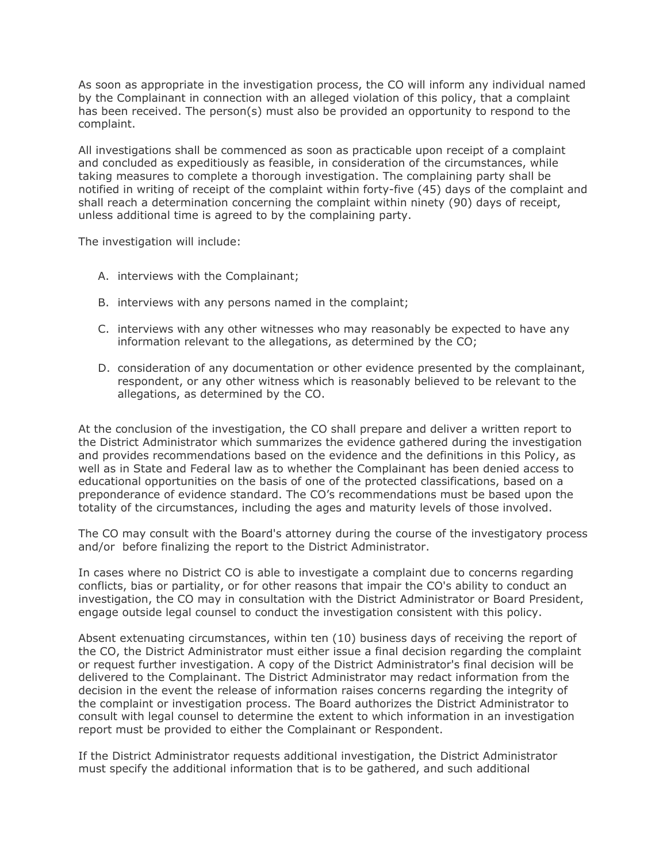As soon as appropriate in the investigation process, the CO will inform any individual named by the Complainant in connection with an alleged violation of this policy, that a complaint has been received. The person(s) must also be provided an opportunity to respond to the complaint.

All investigations shall be commenced as soon as practicable upon receipt of a complaint and concluded as expeditiously as feasible, in consideration of the circumstances, while taking measures to complete a thorough investigation. The complaining party shall be notified in writing of receipt of the complaint within forty-five (45) days of the complaint and shall reach a determination concerning the complaint within ninety (90) days of receipt, unless additional time is agreed to by the complaining party.

The investigation will include:

- A. interviews with the Complainant;
- B. interviews with any persons named in the complaint;
- C. interviews with any other witnesses who may reasonably be expected to have any information relevant to the allegations, as determined by the CO;
- D. consideration of any documentation or other evidence presented by the complainant, respondent, or any other witness which is reasonably believed to be relevant to the allegations, as determined by the CO.

At the conclusion of the investigation, the CO shall prepare and deliver a written report to the District Administrator which summarizes the evidence gathered during the investigation and provides recommendations based on the evidence and the definitions in this Policy, as well as in State and Federal law as to whether the Complainant has been denied access to educational opportunities on the basis of one of the protected classifications, based on a preponderance of evidence standard. The CO's recommendations must be based upon the totality of the circumstances, including the ages and maturity levels of those involved.

The CO may consult with the Board's attorney during the course of the investigatory process and/or before finalizing the report to the District Administrator.

In cases where no District CO is able to investigate a complaint due to concerns regarding conflicts, bias or partiality, or for other reasons that impair the CO's ability to conduct an investigation, the CO may in consultation with the District Administrator or Board President, engage outside legal counsel to conduct the investigation consistent with this policy.

Absent extenuating circumstances, within ten (10) business days of receiving the report of the CO, the District Administrator must either issue a final decision regarding the complaint or request further investigation. A copy of the District Administrator's final decision will be delivered to the Complainant. The District Administrator may redact information from the decision in the event the release of information raises concerns regarding the integrity of the complaint or investigation process. The Board authorizes the District Administrator to consult with legal counsel to determine the extent to which information in an investigation report must be provided to either the Complainant or Respondent.

If the District Administrator requests additional investigation, the District Administrator must specify the additional information that is to be gathered, and such additional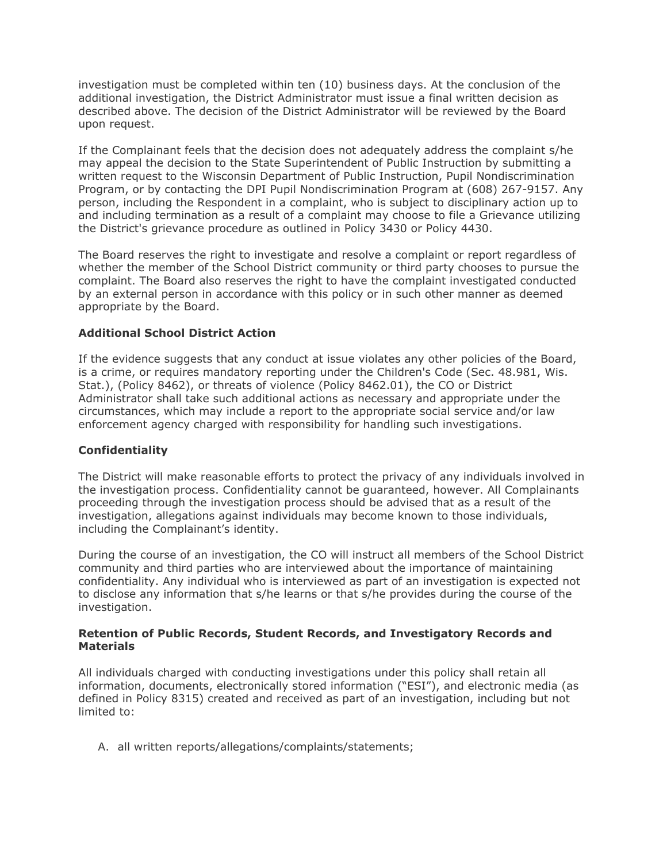investigation must be completed within ten (10) business days. At the conclusion of the additional investigation, the District Administrator must issue a final written decision as described above. The decision of the District Administrator will be reviewed by the Board upon request.

If the Complainant feels that the decision does not adequately address the complaint s/he may appeal the decision to the State Superintendent of Public Instruction by submitting a written request to the Wisconsin Department of Public Instruction, Pupil Nondiscrimination Program, or by contacting the DPI Pupil Nondiscrimination Program at (608) 267-9157. Any person, including the Respondent in a complaint, who is subject to disciplinary action up to and including termination as a result of a complaint may choose to file a Grievance utilizing the District's grievance procedure as outlined in Policy 3430 or Policy 4430.

The Board reserves the right to investigate and resolve a complaint or report regardless of whether the member of the School District community or third party chooses to pursue the complaint. The Board also reserves the right to have the complaint investigated conducted by an external person in accordance with this policy or in such other manner as deemed appropriate by the Board.

## **Additional School District Action**

If the evidence suggests that any conduct at issue violates any other policies of the Board, is a crime, or requires mandatory reporting under the Children's Code (Sec. 48.981, Wis. Stat.), (Policy 8462), or threats of violence (Policy 8462.01), the CO or District Administrator shall take such additional actions as necessary and appropriate under the circumstances, which may include a report to the appropriate social service and/or law enforcement agency charged with responsibility for handling such investigations.

## **Confidentiality**

The District will make reasonable efforts to protect the privacy of any individuals involved in the investigation process. Confidentiality cannot be guaranteed, however. All Complainants proceeding through the investigation process should be advised that as a result of the investigation, allegations against individuals may become known to those individuals, including the Complainant's identity.

During the course of an investigation, the CO will instruct all members of the School District community and third parties who are interviewed about the importance of maintaining confidentiality. Any individual who is interviewed as part of an investigation is expected not to disclose any information that s/he learns or that s/he provides during the course of the investigation.

## **Retention of Public Records, Student Records, and Investigatory Records and Materials**

All individuals charged with conducting investigations under this policy shall retain all information, documents, electronically stored information ("ESI"), and electronic media (as defined in Policy 8315) created and received as part of an investigation, including but not limited to:

A. all written reports/allegations/complaints/statements;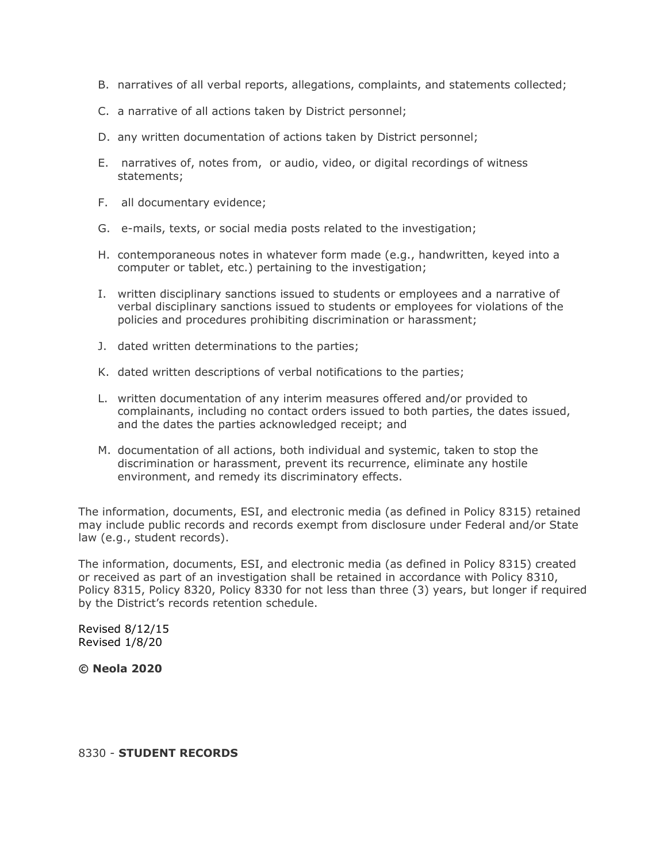- B. narratives of all verbal reports, allegations, complaints, and statements collected;
- C. a narrative of all actions taken by District personnel;
- D. any written documentation of actions taken by District personnel;
- E. narratives of, notes from, or audio, video, or digital recordings of witness statements;
- F. all documentary evidence;
- G. e-mails, texts, or social media posts related to the investigation;
- H. contemporaneous notes in whatever form made (e.g., handwritten, keyed into a computer or tablet, etc.) pertaining to the investigation;
- I. written disciplinary sanctions issued to students or employees and a narrative of verbal disciplinary sanctions issued to students or employees for violations of the policies and procedures prohibiting discrimination or harassment;
- J. dated written determinations to the parties;
- K. dated written descriptions of verbal notifications to the parties;
- L. written documentation of any interim measures offered and/or provided to complainants, including no contact orders issued to both parties, the dates issued, and the dates the parties acknowledged receipt; and
- M. documentation of all actions, both individual and systemic, taken to stop the discrimination or harassment, prevent its recurrence, eliminate any hostile environment, and remedy its discriminatory effects.

The information, documents, ESI, and electronic media (as defined in Policy 8315) retained may include public records and records exempt from disclosure under Federal and/or State law (e.g., student records).

The information, documents, ESI, and electronic media (as defined in Policy 8315) created or received as part of an investigation shall be retained in accordance with Policy 8310, Policy 8315, Policy 8320, Policy 8330 for not less than three (3) years, but longer if required by the District's records retention schedule.

Revised 8/12/15 Revised 1/8/20

**© Neola 2020**

#### 8330 - **STUDENT RECORDS**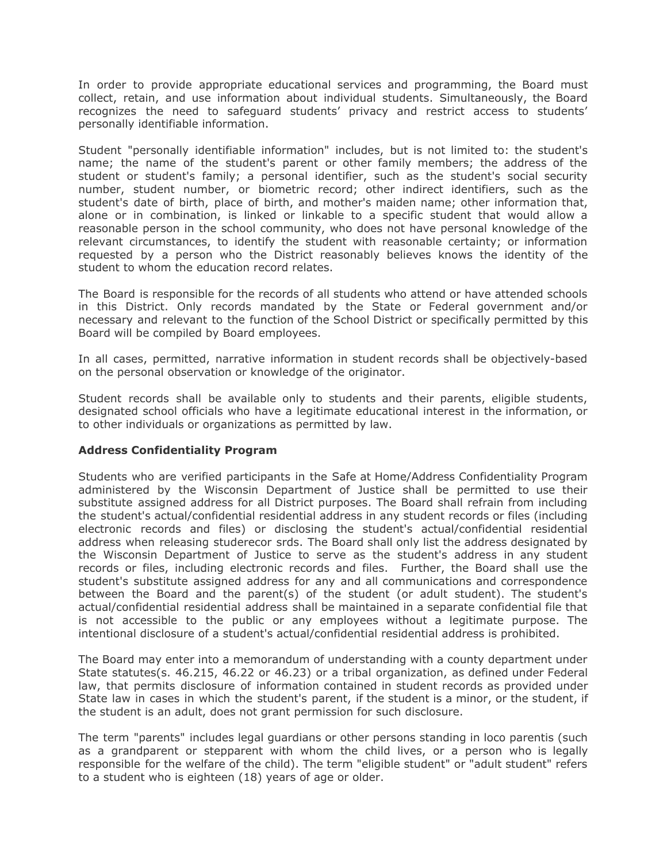In order to provide appropriate educational services and programming, the Board must collect, retain, and use information about individual students. Simultaneously, the Board recognizes the need to safeguard students' privacy and restrict access to students' personally identifiable information.

Student "personally identifiable information" includes, but is not limited to: the student's name; the name of the student's parent or other family members; the address of the student or student's family; a personal identifier, such as the student's social security number, student number, or biometric record; other indirect identifiers, such as the student's date of birth, place of birth, and mother's maiden name; other information that, alone or in combination, is linked or linkable to a specific student that would allow a reasonable person in the school community, who does not have personal knowledge of the relevant circumstances, to identify the student with reasonable certainty; or information requested by a person who the District reasonably believes knows the identity of the student to whom the education record relates.

The Board is responsible for the records of all students who attend or have attended schools in this District. Only records mandated by the State or Federal government and/or necessary and relevant to the function of the School District or specifically permitted by this Board will be compiled by Board employees.

In all cases, permitted, narrative information in student records shall be objectively-based on the personal observation or knowledge of the originator.

Student records shall be available only to students and their parents, eligible students, designated school officials who have a legitimate educational interest in the information, or to other individuals or organizations as permitted by law.

## **Address Confidentiality Program**

Students who are verified participants in the Safe at Home/Address Confidentiality Program administered by the Wisconsin Department of Justice shall be permitted to use their substitute assigned address for all District purposes. The Board shall refrain from including the student's actual/confidential residential address in any student records or files (including electronic records and files) or disclosing the student's actual/confidential residential address when releasing studerecor srds. The Board shall only list the address designated by the Wisconsin Department of Justice to serve as the student's address in any student records or files, including electronic records and files. Further, the Board shall use the student's substitute assigned address for any and all communications and correspondence between the Board and the parent(s) of the student (or adult student). The student's actual/confidential residential address shall be maintained in a separate confidential file that is not accessible to the public or any employees without a legitimate purpose. The intentional disclosure of a student's actual/confidential residential address is prohibited.

The Board may enter into a memorandum of understanding with a county department under State statutes(s. 46.215, 46.22 or 46.23) or a tribal organization, as defined under Federal law, that permits disclosure of information contained in student records as provided under State law in cases in which the student's parent, if the student is a minor, or the student, if the student is an adult, does not grant permission for such disclosure.

The term "parents" includes legal guardians or other persons standing in loco parentis (such as a grandparent or stepparent with whom the child lives, or a person who is legally responsible for the welfare of the child). The term "eligible student" or "adult student" refers to a student who is eighteen (18) years of age or older.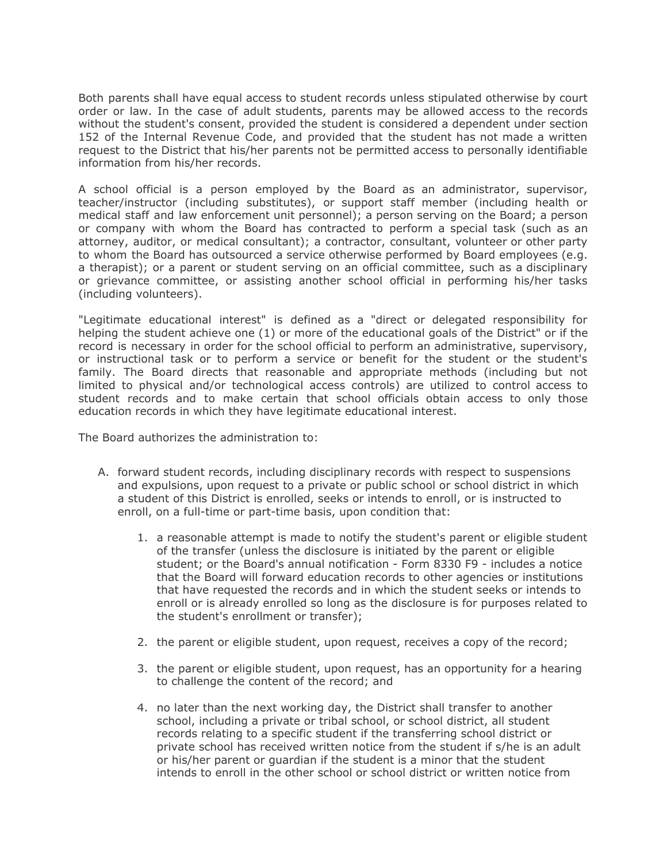Both parents shall have equal access to student records unless stipulated otherwise by court order or law. In the case of adult students, parents may be allowed access to the records without the student's consent, provided the student is considered a dependent under section 152 of the Internal Revenue Code, and provided that the student has not made a written request to the District that his/her parents not be permitted access to personally identifiable information from his/her records.

A school official is a person employed by the Board as an administrator, supervisor, teacher/instructor (including substitutes), or support staff member (including health or medical staff and law enforcement unit personnel); a person serving on the Board; a person or company with whom the Board has contracted to perform a special task (such as an attorney, auditor, or medical consultant); a contractor, consultant, volunteer or other party to whom the Board has outsourced a service otherwise performed by Board employees (e.g. a therapist); or a parent or student serving on an official committee, such as a disciplinary or grievance committee, or assisting another school official in performing his/her tasks (including volunteers).

"Legitimate educational interest" is defined as a "direct or delegated responsibility for helping the student achieve one (1) or more of the educational goals of the District" or if the record is necessary in order for the school official to perform an administrative, supervisory, or instructional task or to perform a service or benefit for the student or the student's family. The Board directs that reasonable and appropriate methods (including but not limited to physical and/or technological access controls) are utilized to control access to student records and to make certain that school officials obtain access to only those education records in which they have legitimate educational interest.

The Board authorizes the administration to:

- A. forward student records, including disciplinary records with respect to suspensions and expulsions, upon request to a private or public school or school district in which a student of this District is enrolled, seeks or intends to enroll, or is instructed to enroll, on a full-time or part-time basis, upon condition that:
	- 1. a reasonable attempt is made to notify the student's parent or eligible student of the transfer (unless the disclosure is initiated by the parent or eligible student; or the Board's annual notification - Form 8330 F9 - includes a notice that the Board will forward education records to other agencies or institutions that have requested the records and in which the student seeks or intends to enroll or is already enrolled so long as the disclosure is for purposes related to the student's enrollment or transfer);
	- 2. the parent or eligible student, upon request, receives a copy of the record;
	- 3. the parent or eligible student, upon request, has an opportunity for a hearing to challenge the content of the record; and
	- 4. no later than the next working day, the District shall transfer to another school, including a private or tribal school, or school district, all student records relating to a specific student if the transferring school district or private school has received written notice from the student if s/he is an adult or his/her parent or guardian if the student is a minor that the student intends to enroll in the other school or school district or written notice from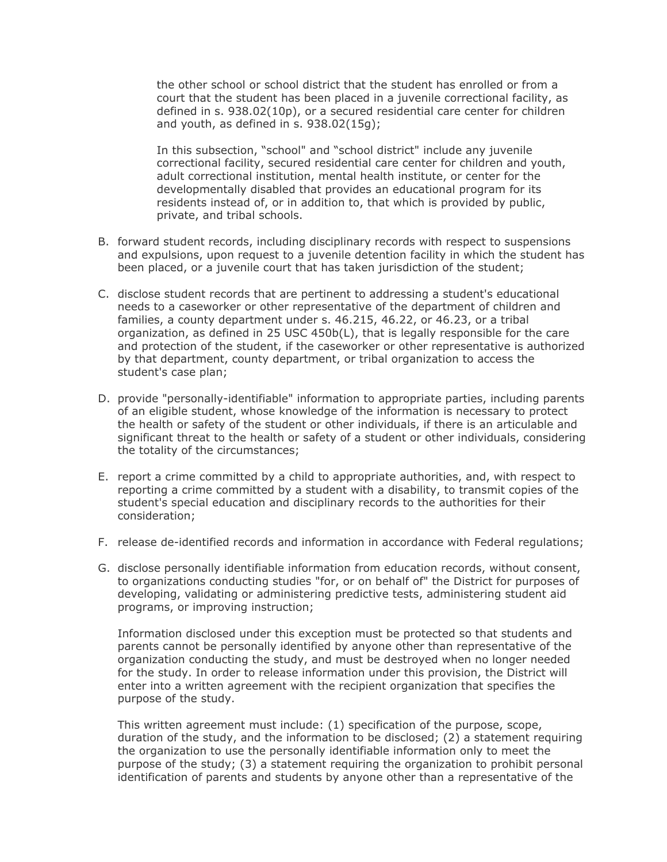the other school or school district that the student has enrolled or from a court that the student has been placed in a juvenile correctional facility, as defined in s. 938.02(10p), or a secured residential care center for children and youth, as defined in s.  $938.02(15q)$ ;

In this subsection, "school" and "school district" include any juvenile correctional facility, secured residential care center for children and youth, adult correctional institution, mental health institute, or center for the developmentally disabled that provides an educational program for its residents instead of, or in addition to, that which is provided by public, private, and tribal schools.

- B. forward student records, including disciplinary records with respect to suspensions and expulsions, upon request to a juvenile detention facility in which the student has been placed, or a juvenile court that has taken jurisdiction of the student;
- C. disclose student records that are pertinent to addressing a student's educational needs to a caseworker or other representative of the department of children and families, a county department under s. 46.215, 46.22, or 46.23, or a tribal organization, as defined in 25 USC 450b(L), that is legally responsible for the care and protection of the student, if the caseworker or other representative is authorized by that department, county department, or tribal organization to access the student's case plan;
- D. provide "personally-identifiable" information to appropriate parties, including parents of an eligible student, whose knowledge of the information is necessary to protect the health or safety of the student or other individuals, if there is an articulable and significant threat to the health or safety of a student or other individuals, considering the totality of the circumstances;
- E. report a crime committed by a child to appropriate authorities, and, with respect to reporting a crime committed by a student with a disability, to transmit copies of the student's special education and disciplinary records to the authorities for their consideration;
- F. release de-identified records and information in accordance with Federal regulations;
- G. disclose personally identifiable information from education records, without consent, to organizations conducting studies "for, or on behalf of" the District for purposes of developing, validating or administering predictive tests, administering student aid programs, or improving instruction;

Information disclosed under this exception must be protected so that students and parents cannot be personally identified by anyone other than representative of the organization conducting the study, and must be destroyed when no longer needed for the study. In order to release information under this provision, the District will enter into a written agreement with the recipient organization that specifies the purpose of the study.

This written agreement must include: (1) specification of the purpose, scope, duration of the study, and the information to be disclosed; (2) a statement requiring the organization to use the personally identifiable information only to meet the purpose of the study; (3) a statement requiring the organization to prohibit personal identification of parents and students by anyone other than a representative of the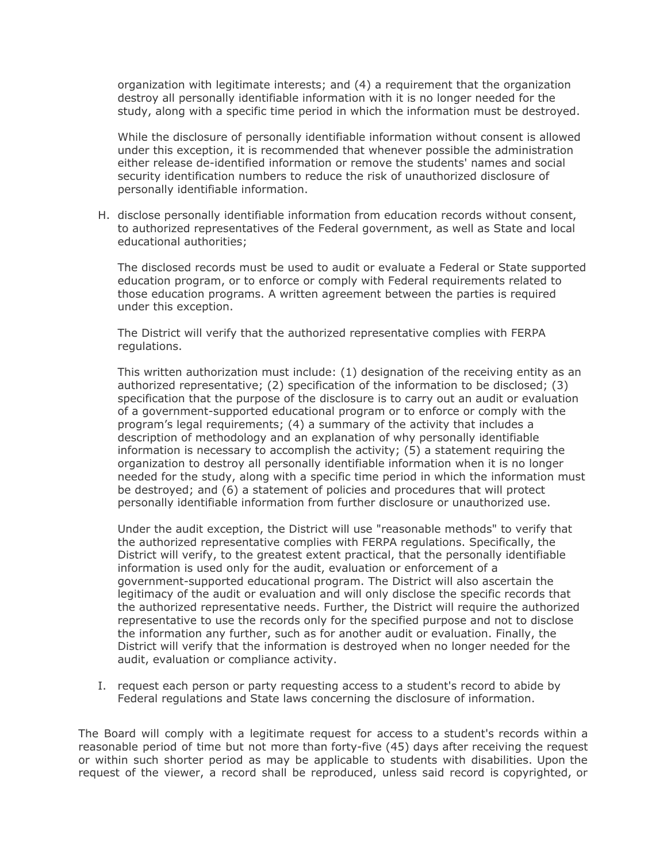organization with legitimate interests; and (4) a requirement that the organization destroy all personally identifiable information with it is no longer needed for the study, along with a specific time period in which the information must be destroyed.

While the disclosure of personally identifiable information without consent is allowed under this exception, it is recommended that whenever possible the administration either release de-identified information or remove the students' names and social security identification numbers to reduce the risk of unauthorized disclosure of personally identifiable information.

H. disclose personally identifiable information from education records without consent, to authorized representatives of the Federal government, as well as State and local educational authorities;

The disclosed records must be used to audit or evaluate a Federal or State supported education program, or to enforce or comply with Federal requirements related to those education programs. A written agreement between the parties is required under this exception.

The District will verify that the authorized representative complies with FERPA regulations.

This written authorization must include: (1) designation of the receiving entity as an authorized representative; (2) specification of the information to be disclosed; (3) specification that the purpose of the disclosure is to carry out an audit or evaluation of a government-supported educational program or to enforce or comply with the program's legal requirements; (4) a summary of the activity that includes a description of methodology and an explanation of why personally identifiable information is necessary to accomplish the activity; (5) a statement requiring the organization to destroy all personally identifiable information when it is no longer needed for the study, along with a specific time period in which the information must be destroyed; and (6) a statement of policies and procedures that will protect personally identifiable information from further disclosure or unauthorized use.

Under the audit exception, the District will use "reasonable methods" to verify that the authorized representative complies with FERPA regulations. Specifically, the District will verify, to the greatest extent practical, that the personally identifiable information is used only for the audit, evaluation or enforcement of a government-supported educational program. The District will also ascertain the legitimacy of the audit or evaluation and will only disclose the specific records that the authorized representative needs. Further, the District will require the authorized representative to use the records only for the specified purpose and not to disclose the information any further, such as for another audit or evaluation. Finally, the District will verify that the information is destroyed when no longer needed for the audit, evaluation or compliance activity.

I. request each person or party requesting access to a student's record to abide by Federal regulations and State laws concerning the disclosure of information.

The Board will comply with a legitimate request for access to a student's records within a reasonable period of time but not more than forty-five (45) days after receiving the request or within such shorter period as may be applicable to students with disabilities. Upon the request of the viewer, a record shall be reproduced, unless said record is copyrighted, or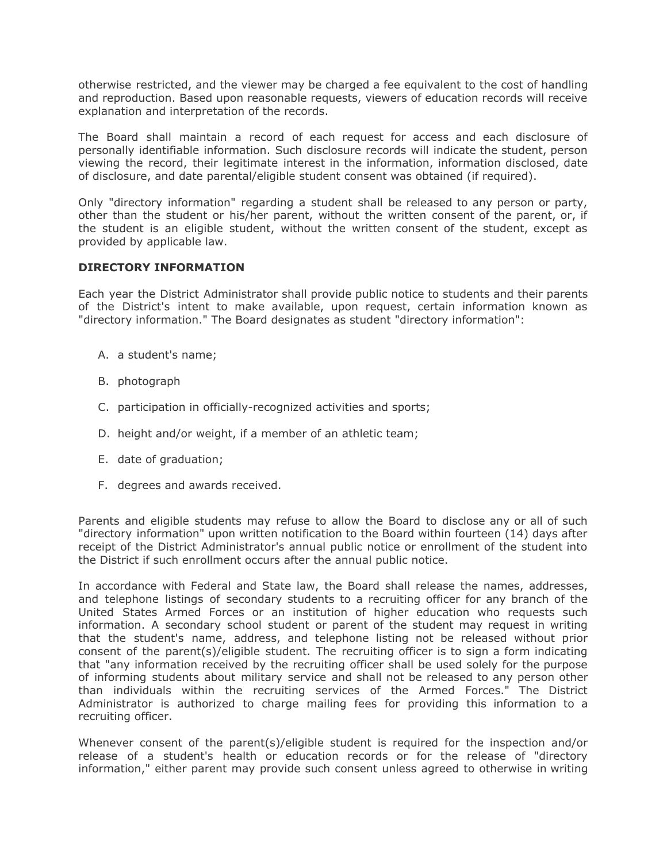otherwise restricted, and the viewer may be charged a fee equivalent to the cost of handling and reproduction. Based upon reasonable requests, viewers of education records will receive explanation and interpretation of the records.

The Board shall maintain a record of each request for access and each disclosure of personally identifiable information. Such disclosure records will indicate the student, person viewing the record, their legitimate interest in the information, information disclosed, date of disclosure, and date parental/eligible student consent was obtained (if required).

Only "directory information" regarding a student shall be released to any person or party, other than the student or his/her parent, without the written consent of the parent, or, if the student is an eligible student, without the written consent of the student, except as provided by applicable law.

## **DIRECTORY INFORMATION**

Each year the District Administrator shall provide public notice to students and their parents of the District's intent to make available, upon request, certain information known as "directory information." The Board designates as student "directory information":

- A. a student's name;
- B. photograph
- C. participation in officially-recognized activities and sports;
- D. height and/or weight, if a member of an athletic team;
- E. date of graduation;
- F. degrees and awards received.

Parents and eligible students may refuse to allow the Board to disclose any or all of such "directory information" upon written notification to the Board within fourteen (14) days after receipt of the District Administrator's annual public notice or enrollment of the student into the District if such enrollment occurs after the annual public notice.

In accordance with Federal and State law, the Board shall release the names, addresses, and telephone listings of secondary students to a recruiting officer for any branch of the United States Armed Forces or an institution of higher education who requests such information. A secondary school student or parent of the student may request in writing that the student's name, address, and telephone listing not be released without prior consent of the parent(s)/eligible student. The recruiting officer is to sign a form indicating that "any information received by the recruiting officer shall be used solely for the purpose of informing students about military service and shall not be released to any person other than individuals within the recruiting services of the Armed Forces." The District Administrator is authorized to charge mailing fees for providing this information to a recruiting officer.

Whenever consent of the parent(s)/eligible student is required for the inspection and/or release of a student's health or education records or for the release of "directory information," either parent may provide such consent unless agreed to otherwise in writing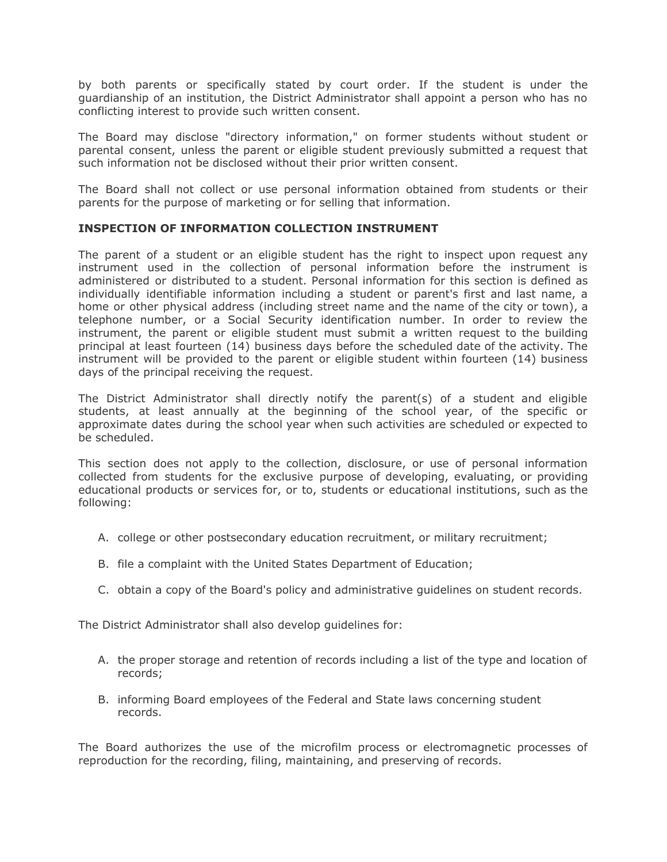by both parents or specifically stated by court order. If the student is under the guardianship of an institution, the District Administrator shall appoint a person who has no conflicting interest to provide such written consent.

The Board may disclose "directory information," on former students without student or parental consent, unless the parent or eligible student previously submitted a request that such information not be disclosed without their prior written consent.

The Board shall not collect or use personal information obtained from students or their parents for the purpose of marketing or for selling that information.

## **INSPECTION OF INFORMATION COLLECTION INSTRUMENT**

The parent of a student or an eligible student has the right to inspect upon request any instrument used in the collection of personal information before the instrument is administered or distributed to a student. Personal information for this section is defined as individually identifiable information including a student or parent's first and last name, a home or other physical address (including street name and the name of the city or town), a telephone number, or a Social Security identification number. In order to review the instrument, the parent or eligible student must submit a written request to the building principal at least fourteen (14) business days before the scheduled date of the activity. The instrument will be provided to the parent or eligible student within fourteen (14) business days of the principal receiving the request.

The District Administrator shall directly notify the parent(s) of a student and eligible students, at least annually at the beginning of the school year, of the specific or approximate dates during the school year when such activities are scheduled or expected to be scheduled.

This section does not apply to the collection, disclosure, or use of personal information collected from students for the exclusive purpose of developing, evaluating, or providing educational products or services for, or to, students or educational institutions, such as the following:

- A. college or other postsecondary education recruitment, or military recruitment;
- B. file a complaint with the United States Department of Education;
- C. obtain a copy of the Board's policy and administrative guidelines on student records.

The District Administrator shall also develop guidelines for:

- A. the proper storage and retention of records including a list of the type and location of records;
- B. informing Board employees of the Federal and State laws concerning student records.

The Board authorizes the use of the microfilm process or electromagnetic processes of reproduction for the recording, filing, maintaining, and preserving of records.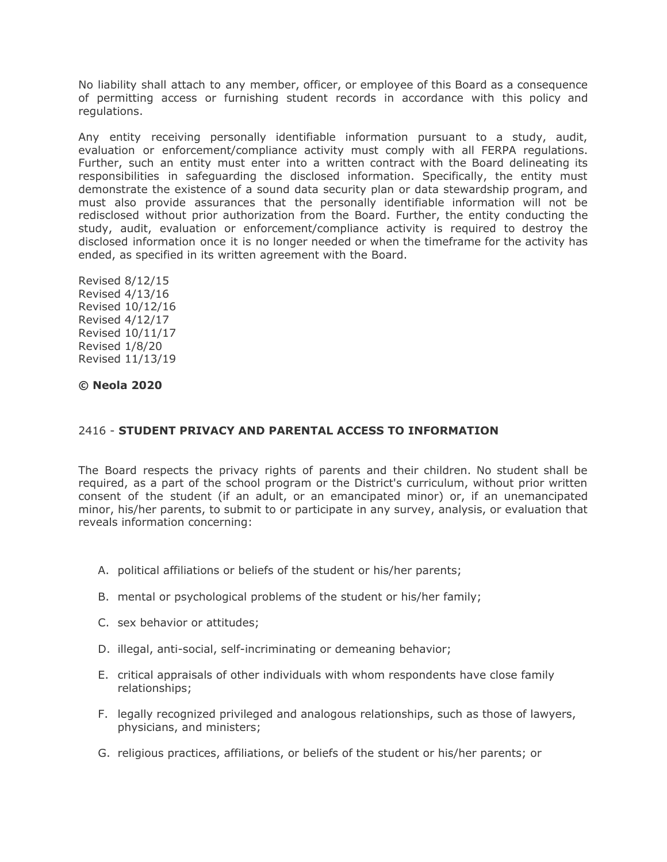No liability shall attach to any member, officer, or employee of this Board as a consequence of permitting access or furnishing student records in accordance with this policy and regulations.

Any entity receiving personally identifiable information pursuant to a study, audit, evaluation or enforcement/compliance activity must comply with all FERPA regulations. Further, such an entity must enter into a written contract with the Board delineating its responsibilities in safeguarding the disclosed information. Specifically, the entity must demonstrate the existence of a sound data security plan or data stewardship program, and must also provide assurances that the personally identifiable information will not be redisclosed without prior authorization from the Board. Further, the entity conducting the study, audit, evaluation or enforcement/compliance activity is required to destroy the disclosed information once it is no longer needed or when the timeframe for the activity has ended, as specified in its written agreement with the Board.

Revised 8/12/15 Revised 4/13/16 Revised 10/12/16 Revised 4/12/17 Revised 10/11/17 Revised 1/8/20 Revised 11/13/19

## **© Neola 2020**

# 2416 - **STUDENT PRIVACY AND PARENTAL ACCESS TO INFORMATION**

The Board respects the privacy rights of parents and their children. No student shall be required, as a part of the school program or the District's curriculum, without prior written consent of the student (if an adult, or an emancipated minor) or, if an unemancipated minor, his/her parents, to submit to or participate in any survey, analysis, or evaluation that reveals information concerning:

- A. political affiliations or beliefs of the student or his/her parents;
- B. mental or psychological problems of the student or his/her family;
- C. sex behavior or attitudes;
- D. illegal, anti-social, self-incriminating or demeaning behavior;
- E. critical appraisals of other individuals with whom respondents have close family relationships;
- F. legally recognized privileged and analogous relationships, such as those of lawyers, physicians, and ministers;
- G. religious practices, affiliations, or beliefs of the student or his/her parents; or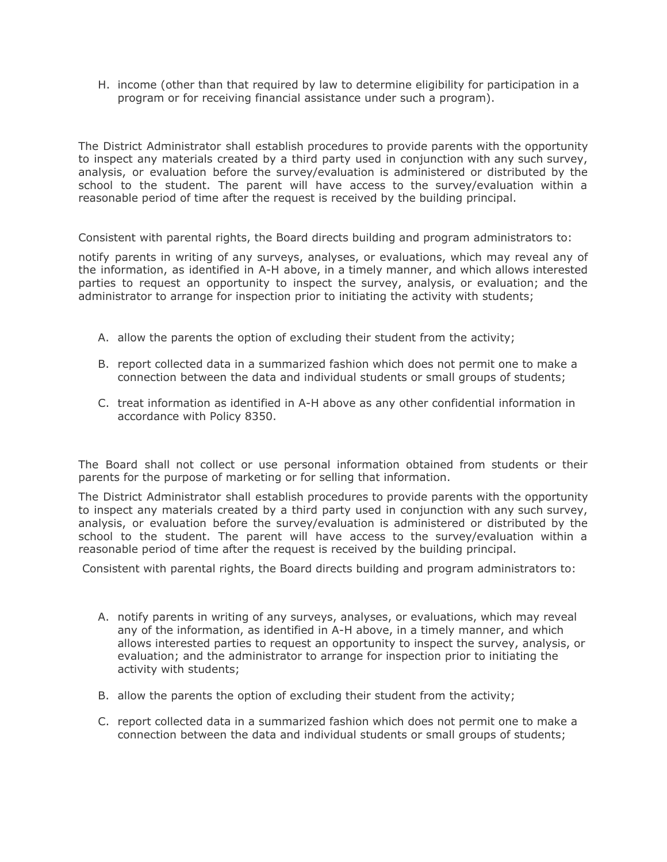H. income (other than that required by law to determine eligibility for participation in a program or for receiving financial assistance under such a program).

The District Administrator shall establish procedures to provide parents with the opportunity to inspect any materials created by a third party used in conjunction with any such survey, analysis, or evaluation before the survey/evaluation is administered or distributed by the school to the student. The parent will have access to the survey/evaluation within a reasonable period of time after the request is received by the building principal.

Consistent with parental rights, the Board directs building and program administrators to:

notify parents in writing of any surveys, analyses, or evaluations, which may reveal any of the information, as identified in A-H above, in a timely manner, and which allows interested parties to request an opportunity to inspect the survey, analysis, or evaluation; and the administrator to arrange for inspection prior to initiating the activity with students;

- A. allow the parents the option of excluding their student from the activity;
- B. report collected data in a summarized fashion which does not permit one to make a connection between the data and individual students or small groups of students;
- C. treat information as identified in A-H above as any other confidential information in accordance with Policy 8350.

The Board shall not collect or use personal information obtained from students or their parents for the purpose of marketing or for selling that information.

The District Administrator shall establish procedures to provide parents with the opportunity to inspect any materials created by a third party used in conjunction with any such survey, analysis, or evaluation before the survey/evaluation is administered or distributed by the school to the student. The parent will have access to the survey/evaluation within a reasonable period of time after the request is received by the building principal.

Consistent with parental rights, the Board directs building and program administrators to:

- A. notify parents in writing of any surveys, analyses, or evaluations, which may reveal any of the information, as identified in A-H above, in a timely manner, and which allows interested parties to request an opportunity to inspect the survey, analysis, or evaluation; and the administrator to arrange for inspection prior to initiating the activity with students;
- B. allow the parents the option of excluding their student from the activity;
- C. report collected data in a summarized fashion which does not permit one to make a connection between the data and individual students or small groups of students;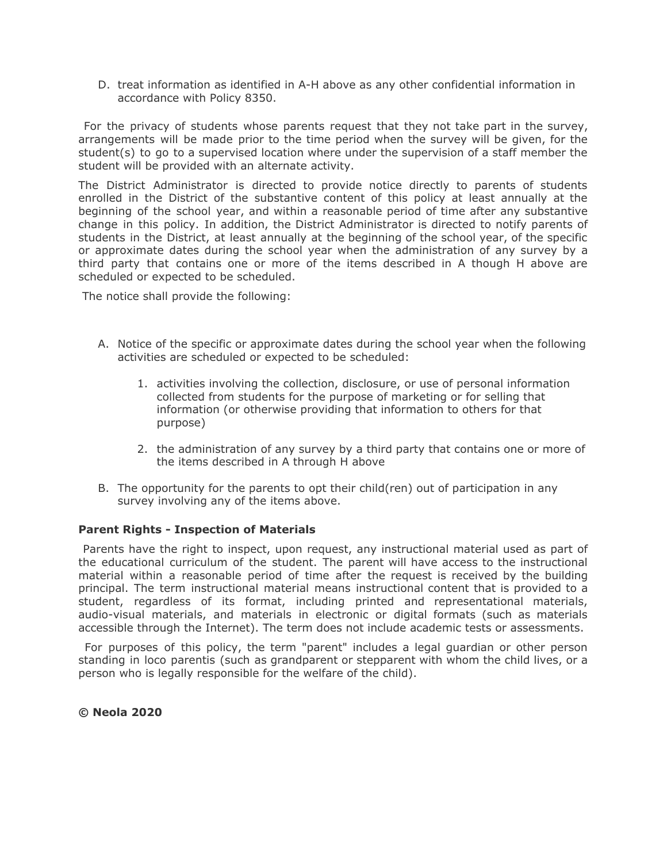D. treat information as identified in A-H above as any other confidential information in accordance with Policy 8350.

For the privacy of students whose parents request that they not take part in the survey, arrangements will be made prior to the time period when the survey will be given, for the student(s) to go to a supervised location where under the supervision of a staff member the student will be provided with an alternate activity.

The District Administrator is directed to provide notice directly to parents of students enrolled in the District of the substantive content of this policy at least annually at the beginning of the school year, and within a reasonable period of time after any substantive change in this policy. In addition, the District Administrator is directed to notify parents of students in the District, at least annually at the beginning of the school year, of the specific or approximate dates during the school year when the administration of any survey by a third party that contains one or more of the items described in A though H above are scheduled or expected to be scheduled.

The notice shall provide the following:

- A. Notice of the specific or approximate dates during the school year when the following activities are scheduled or expected to be scheduled:
	- 1. activities involving the collection, disclosure, or use of personal information collected from students for the purpose of marketing or for selling that information (or otherwise providing that information to others for that purpose)
	- 2. the administration of any survey by a third party that contains one or more of the items described in A through H above
- B. The opportunity for the parents to opt their child(ren) out of participation in any survey involving any of the items above.

## **Parent Rights - Inspection of Materials**

Parents have the right to inspect, upon request, any instructional material used as part of the educational curriculum of the student. The parent will have access to the instructional material within a reasonable period of time after the request is received by the building principal. The term instructional material means instructional content that is provided to a student, regardless of its format, including printed and representational materials, audio-visual materials, and materials in electronic or digital formats (such as materials accessible through the Internet). The term does not include academic tests or assessments.

For purposes of this policy, the term "parent" includes a legal guardian or other person standing in loco parentis (such as grandparent or stepparent with whom the child lives, or a person who is legally responsible for the welfare of the child).

**© Neola 2020**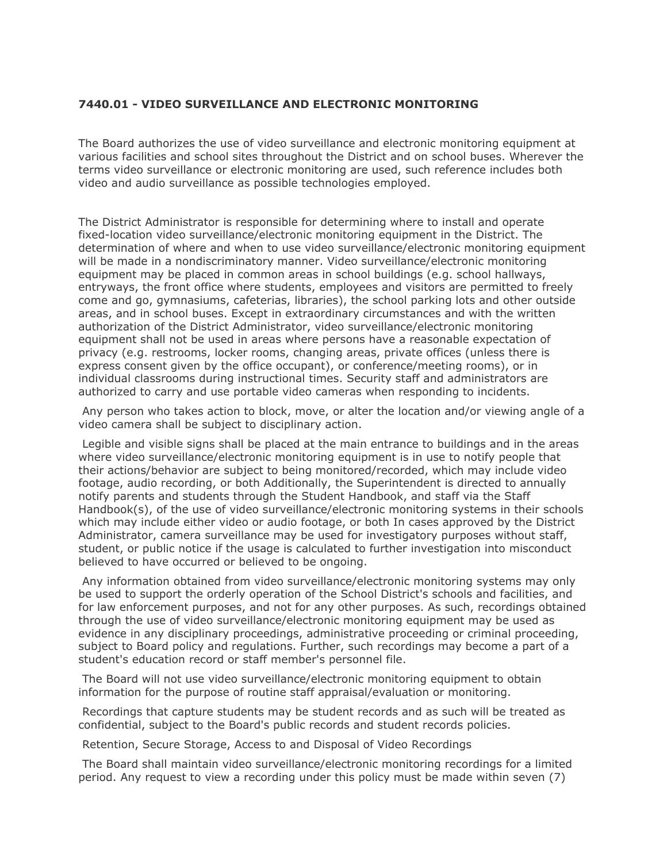# **7440.01 - VIDEO SURVEILLANCE AND ELECTRONIC MONITORING**

The Board authorizes the use of video surveillance and electronic monitoring equipment at various facilities and school sites throughout the District and on school buses. Wherever the terms video surveillance or electronic monitoring are used, such reference includes both video and audio surveillance as possible technologies employed.

The District Administrator is responsible for determining where to install and operate fixed-location video surveillance/electronic monitoring equipment in the District. The determination of where and when to use video surveillance/electronic monitoring equipment will be made in a nondiscriminatory manner. Video surveillance/electronic monitoring equipment may be placed in common areas in school buildings (e.g. school hallways, entryways, the front office where students, employees and visitors are permitted to freely come and go, gymnasiums, cafeterias, libraries), the school parking lots and other outside areas, and in school buses. Except in extraordinary circumstances and with the written authorization of the District Administrator, video surveillance/electronic monitoring equipment shall not be used in areas where persons have a reasonable expectation of privacy (e.g. restrooms, locker rooms, changing areas, private offices (unless there is express consent given by the office occupant), or conference/meeting rooms), or in individual classrooms during instructional times. Security staff and administrators are authorized to carry and use portable video cameras when responding to incidents.

Any person who takes action to block, move, or alter the location and/or viewing angle of a video camera shall be subject to disciplinary action.

Legible and visible signs shall be placed at the main entrance to buildings and in the areas where video surveillance/electronic monitoring equipment is in use to notify people that their actions/behavior are subject to being monitored/recorded, which may include video footage, audio recording, or both Additionally, the Superintendent is directed to annually notify parents and students through the Student Handbook, and staff via the Staff Handbook(s), of the use of video surveillance/electronic monitoring systems in their schools which may include either video or audio footage, or both In cases approved by the District Administrator, camera surveillance may be used for investigatory purposes without staff, student, or public notice if the usage is calculated to further investigation into misconduct believed to have occurred or believed to be ongoing.

Any information obtained from video surveillance/electronic monitoring systems may only be used to support the orderly operation of the School District's schools and facilities, and for law enforcement purposes, and not for any other purposes. As such, recordings obtained through the use of video surveillance/electronic monitoring equipment may be used as evidence in any disciplinary proceedings, administrative proceeding or criminal proceeding, subject to Board policy and regulations. Further, such recordings may become a part of a student's education record or staff member's personnel file.

The Board will not use video surveillance/electronic monitoring equipment to obtain information for the purpose of routine staff appraisal/evaluation or monitoring.

Recordings that capture students may be student records and as such will be treated as confidential, subject to the Board's public records and student records policies.

Retention, Secure Storage, Access to and Disposal of Video Recordings

The Board shall maintain video surveillance/electronic monitoring recordings for a limited period. Any request to view a recording under this policy must be made within seven (7)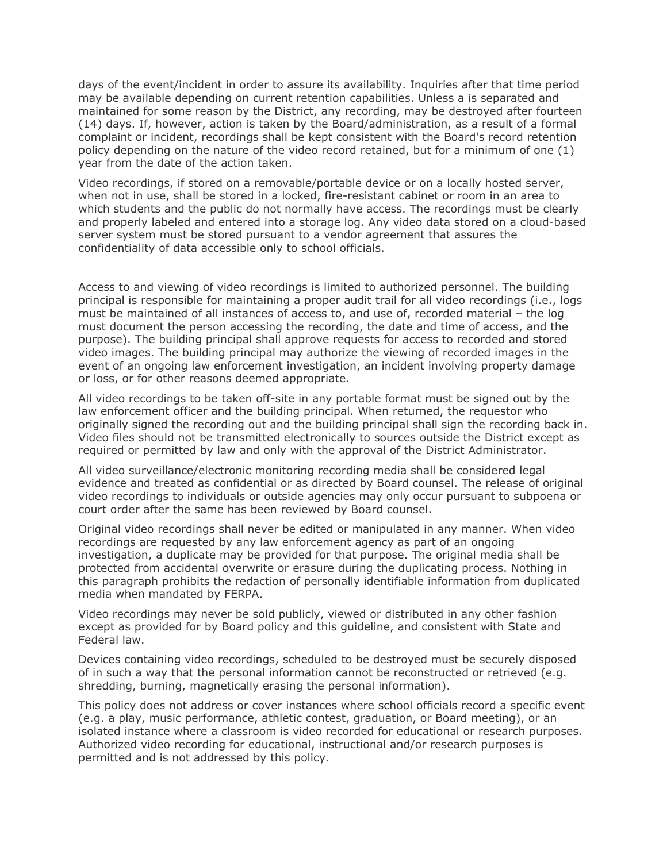days of the event/incident in order to assure its availability. Inquiries after that time period may be available depending on current retention capabilities. Unless a is separated and maintained for some reason by the District, any recording, may be destroyed after fourteen (14) days. If, however, action is taken by the Board/administration, as a result of a formal complaint or incident, recordings shall be kept consistent with the Board's record retention policy depending on the nature of the video record retained, but for a minimum of one (1) year from the date of the action taken.

Video recordings, if stored on a removable/portable device or on a locally hosted server, when not in use, shall be stored in a locked, fire-resistant cabinet or room in an area to which students and the public do not normally have access. The recordings must be clearly and properly labeled and entered into a storage log. Any video data stored on a cloud-based server system must be stored pursuant to a vendor agreement that assures the confidentiality of data accessible only to school officials.

Access to and viewing of video recordings is limited to authorized personnel. The building principal is responsible for maintaining a proper audit trail for all video recordings (i.e., logs must be maintained of all instances of access to, and use of, recorded material – the log must document the person accessing the recording, the date and time of access, and the purpose). The building principal shall approve requests for access to recorded and stored video images. The building principal may authorize the viewing of recorded images in the event of an ongoing law enforcement investigation, an incident involving property damage or loss, or for other reasons deemed appropriate.

All video recordings to be taken off-site in any portable format must be signed out by the law enforcement officer and the building principal. When returned, the requestor who originally signed the recording out and the building principal shall sign the recording back in. Video files should not be transmitted electronically to sources outside the District except as required or permitted by law and only with the approval of the District Administrator.

All video surveillance/electronic monitoring recording media shall be considered legal evidence and treated as confidential or as directed by Board counsel. The release of original video recordings to individuals or outside agencies may only occur pursuant to subpoena or court order after the same has been reviewed by Board counsel.

Original video recordings shall never be edited or manipulated in any manner. When video recordings are requested by any law enforcement agency as part of an ongoing investigation, a duplicate may be provided for that purpose. The original media shall be protected from accidental overwrite or erasure during the duplicating process. Nothing in this paragraph prohibits the redaction of personally identifiable information from duplicated media when mandated by FERPA.

Video recordings may never be sold publicly, viewed or distributed in any other fashion except as provided for by Board policy and this guideline, and consistent with State and Federal law.

Devices containing video recordings, scheduled to be destroyed must be securely disposed of in such a way that the personal information cannot be reconstructed or retrieved (e.g. shredding, burning, magnetically erasing the personal information).

This policy does not address or cover instances where school officials record a specific event (e.g. a play, music performance, athletic contest, graduation, or Board meeting), or an isolated instance where a classroom is video recorded for educational or research purposes. Authorized video recording for educational, instructional and/or research purposes is permitted and is not addressed by this policy.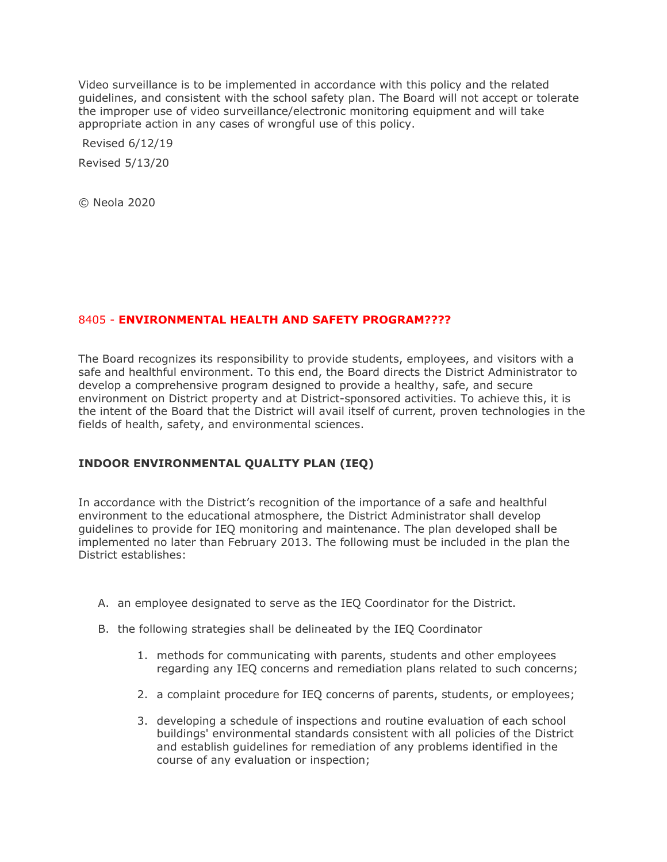Video surveillance is to be implemented in accordance with this policy and the related guidelines, and consistent with the school safety plan. The Board will not accept or tolerate the improper use of video surveillance/electronic monitoring equipment and will take appropriate action in any cases of wrongful use of this policy.

Revised 6/12/19 Revised 5/13/20

© Neola 2020

# 8405 - **ENVIRONMENTAL HEALTH AND SAFETY PROGRAM????**

The Board recognizes its responsibility to provide students, employees, and visitors with a safe and healthful environment. To this end, the Board directs the District Administrator to develop a comprehensive program designed to provide a healthy, safe, and secure environment on District property and at District-sponsored activities. To achieve this, it is the intent of the Board that the District will avail itself of current, proven technologies in the fields of health, safety, and environmental sciences.

# **INDOOR ENVIRONMENTAL QUALITY PLAN (IEQ)**

In accordance with the District's recognition of the importance of a safe and healthful environment to the educational atmosphere, the District Administrator shall develop guidelines to provide for IEQ monitoring and maintenance. The plan developed shall be implemented no later than February 2013. The following must be included in the plan the District establishes:

- A. an employee designated to serve as the IEQ Coordinator for the District.
- B. the following strategies shall be delineated by the IEQ Coordinator
	- 1. methods for communicating with parents, students and other employees regarding any IEQ concerns and remediation plans related to such concerns;
	- 2. a complaint procedure for IEQ concerns of parents, students, or employees;
	- 3. developing a schedule of inspections and routine evaluation of each school buildings' environmental standards consistent with all policies of the District and establish guidelines for remediation of any problems identified in the course of any evaluation or inspection;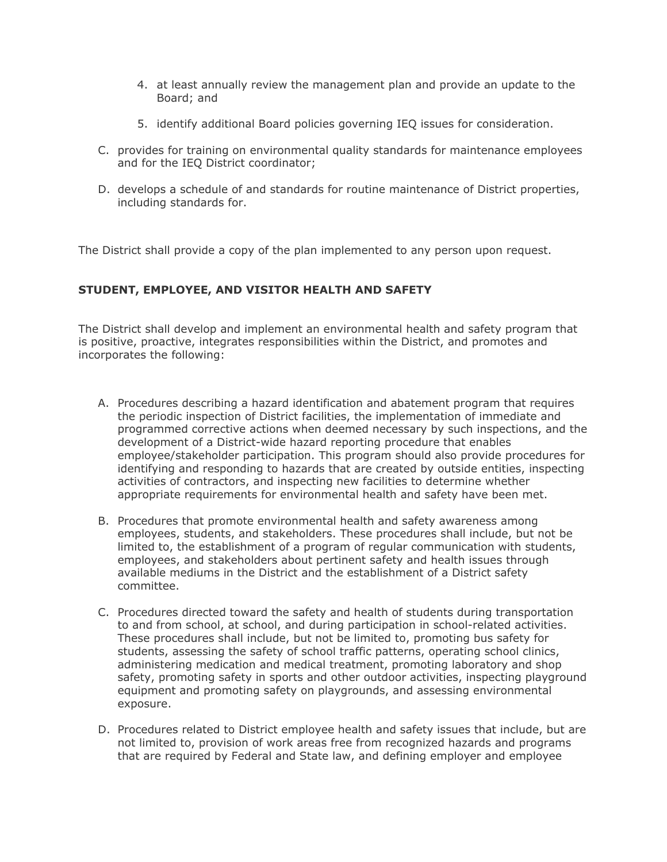- 4. at least annually review the management plan and provide an update to the Board; and
- 5. identify additional Board policies governing IEQ issues for consideration.
- C. provides for training on environmental quality standards for maintenance employees and for the IEQ District coordinator;
- D. develops a schedule of and standards for routine maintenance of District properties, including standards for.

The District shall provide a copy of the plan implemented to any person upon request.

# **STUDENT, EMPLOYEE, AND VISITOR HEALTH AND SAFETY**

The District shall develop and implement an environmental health and safety program that is positive, proactive, integrates responsibilities within the District, and promotes and incorporates the following:

- A. Procedures describing a hazard identification and abatement program that requires the periodic inspection of District facilities, the implementation of immediate and programmed corrective actions when deemed necessary by such inspections, and the development of a District-wide hazard reporting procedure that enables employee/stakeholder participation. This program should also provide procedures for identifying and responding to hazards that are created by outside entities, inspecting activities of contractors, and inspecting new facilities to determine whether appropriate requirements for environmental health and safety have been met.
- B. Procedures that promote environmental health and safety awareness among employees, students, and stakeholders. These procedures shall include, but not be limited to, the establishment of a program of regular communication with students, employees, and stakeholders about pertinent safety and health issues through available mediums in the District and the establishment of a District safety committee.
- C. Procedures directed toward the safety and health of students during transportation to and from school, at school, and during participation in school-related activities. These procedures shall include, but not be limited to, promoting bus safety for students, assessing the safety of school traffic patterns, operating school clinics, administering medication and medical treatment, promoting laboratory and shop safety, promoting safety in sports and other outdoor activities, inspecting playground equipment and promoting safety on playgrounds, and assessing environmental exposure.
- D. Procedures related to District employee health and safety issues that include, but are not limited to, provision of work areas free from recognized hazards and programs that are required by Federal and State law, and defining employer and employee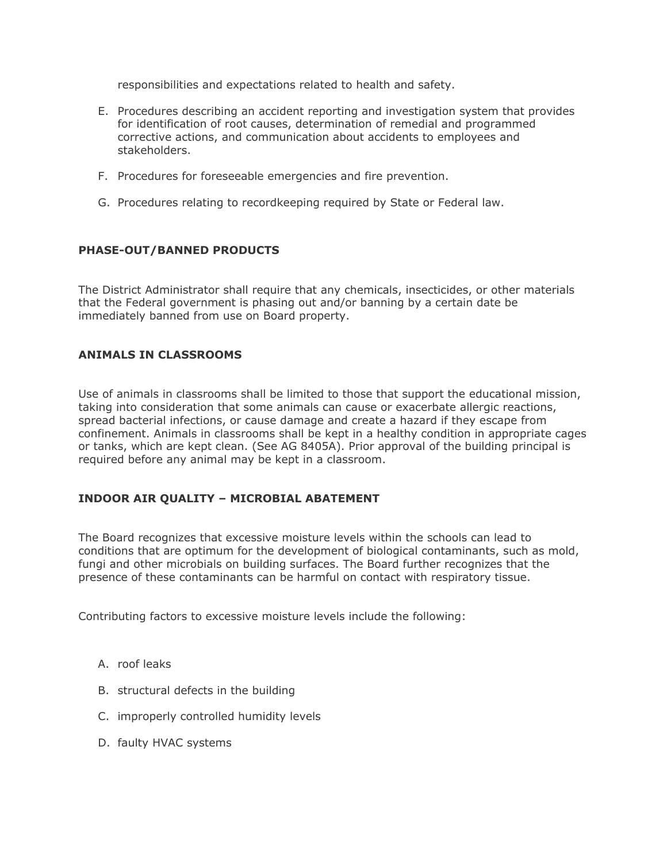responsibilities and expectations related to health and safety.

- E. Procedures describing an accident reporting and investigation system that provides for identification of root causes, determination of remedial and programmed corrective actions, and communication about accidents to employees and stakeholders.
- F. Procedures for foreseeable emergencies and fire prevention.
- G. Procedures relating to recordkeeping required by State or Federal law.

## **PHASE-OUT/BANNED PRODUCTS**

The District Administrator shall require that any chemicals, insecticides, or other materials that the Federal government is phasing out and/or banning by a certain date be immediately banned from use on Board property.

## **ANIMALS IN CLASSROOMS**

Use of animals in classrooms shall be limited to those that support the educational mission, taking into consideration that some animals can cause or exacerbate allergic reactions, spread bacterial infections, or cause damage and create a hazard if they escape from confinement. Animals in classrooms shall be kept in a healthy condition in appropriate cages or tanks, which are kept clean. (See AG 8405A). Prior approval of the building principal is required before any animal may be kept in a classroom.

## **INDOOR AIR QUALITY – MICROBIAL ABATEMENT**

The Board recognizes that excessive moisture levels within the schools can lead to conditions that are optimum for the development of biological contaminants, such as mold, fungi and other microbials on building surfaces. The Board further recognizes that the presence of these contaminants can be harmful on contact with respiratory tissue.

Contributing factors to excessive moisture levels include the following:

- A. roof leaks
- B. structural defects in the building
- C. improperly controlled humidity levels
- D. faulty HVAC systems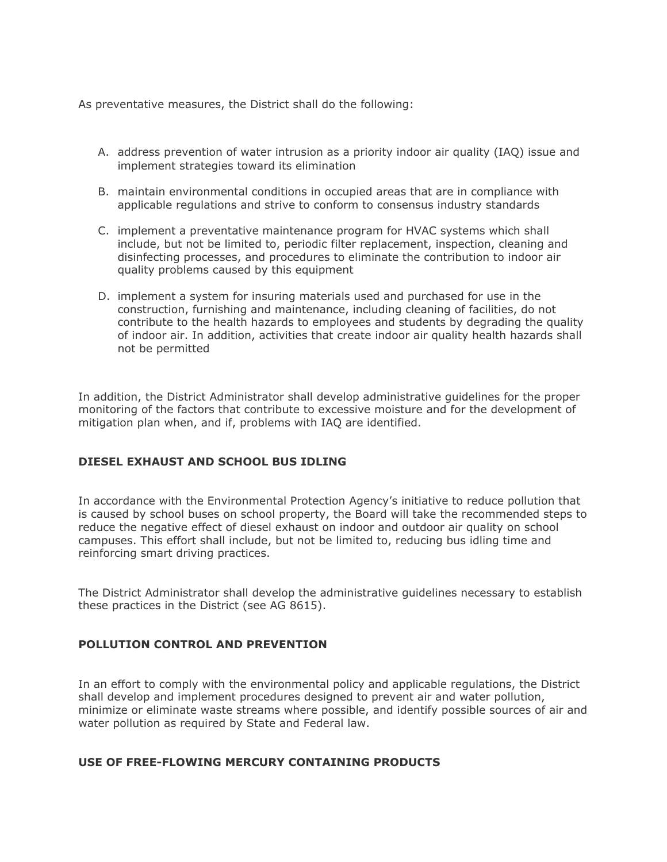As preventative measures, the District shall do the following:

- A. address prevention of water intrusion as a priority indoor air quality (IAQ) issue and implement strategies toward its elimination
- B. maintain environmental conditions in occupied areas that are in compliance with applicable regulations and strive to conform to consensus industry standards
- C. implement a preventative maintenance program for HVAC systems which shall include, but not be limited to, periodic filter replacement, inspection, cleaning and disinfecting processes, and procedures to eliminate the contribution to indoor air quality problems caused by this equipment
- D. implement a system for insuring materials used and purchased for use in the construction, furnishing and maintenance, including cleaning of facilities, do not contribute to the health hazards to employees and students by degrading the quality of indoor air. In addition, activities that create indoor air quality health hazards shall not be permitted

In addition, the District Administrator shall develop administrative guidelines for the proper monitoring of the factors that contribute to excessive moisture and for the development of mitigation plan when, and if, problems with IAQ are identified.

# **DIESEL EXHAUST AND SCHOOL BUS IDLING**

In accordance with the Environmental Protection Agency's initiative to reduce pollution that is caused by school buses on school property, the Board will take the recommended steps to reduce the negative effect of diesel exhaust on indoor and outdoor air quality on school campuses. This effort shall include, but not be limited to, reducing bus idling time and reinforcing smart driving practices.

The District Administrator shall develop the administrative guidelines necessary to establish these practices in the District (see AG 8615).

## **POLLUTION CONTROL AND PREVENTION**

In an effort to comply with the environmental policy and applicable regulations, the District shall develop and implement procedures designed to prevent air and water pollution, minimize or eliminate waste streams where possible, and identify possible sources of air and water pollution as required by State and Federal law.

## **USE OF FREE-FLOWING MERCURY CONTAINING PRODUCTS**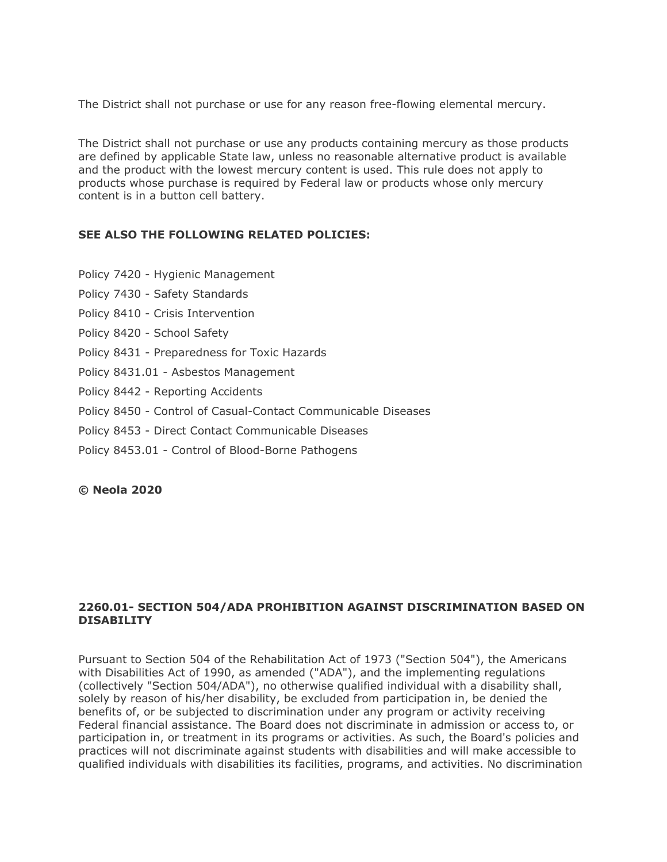The District shall not purchase or use for any reason free-flowing elemental mercury.

The District shall not purchase or use any products containing mercury as those products are defined by applicable State law, unless no reasonable alternative product is available and the product with the lowest mercury content is used. This rule does not apply to products whose purchase is required by Federal law or products whose only mercury content is in a button cell battery.

## **SEE ALSO THE FOLLOWING RELATED POLICIES:**

- Policy 7420 Hygienic Management
- Policy 7430 Safety Standards
- Policy 8410 Crisis Intervention
- Policy 8420 School Safety
- Policy 8431 Preparedness for Toxic Hazards
- Policy 8431.01 Asbestos Management
- Policy 8442 Reporting Accidents
- Policy 8450 Control of Casual-Contact Communicable Diseases
- Policy 8453 Direct Contact Communicable Diseases
- Policy 8453.01 Control of Blood-Borne Pathogens

### **© Neola 2020**

## **2260.01- SECTION 504/ADA PROHIBITION AGAINST DISCRIMINATION BASED ON DISABILITY**

Pursuant to Section 504 of the Rehabilitation Act of 1973 ("Section 504"), the Americans with Disabilities Act of 1990, as amended ("ADA"), and the implementing regulations (collectively "Section 504/ADA"), no otherwise qualified individual with a disability shall, solely by reason of his/her disability, be excluded from participation in, be denied the benefits of, or be subjected to discrimination under any program or activity receiving Federal financial assistance. The Board does not discriminate in admission or access to, or participation in, or treatment in its programs or activities. As such, the Board's policies and practices will not discriminate against students with disabilities and will make accessible to qualified individuals with disabilities its facilities, programs, and activities. No discrimination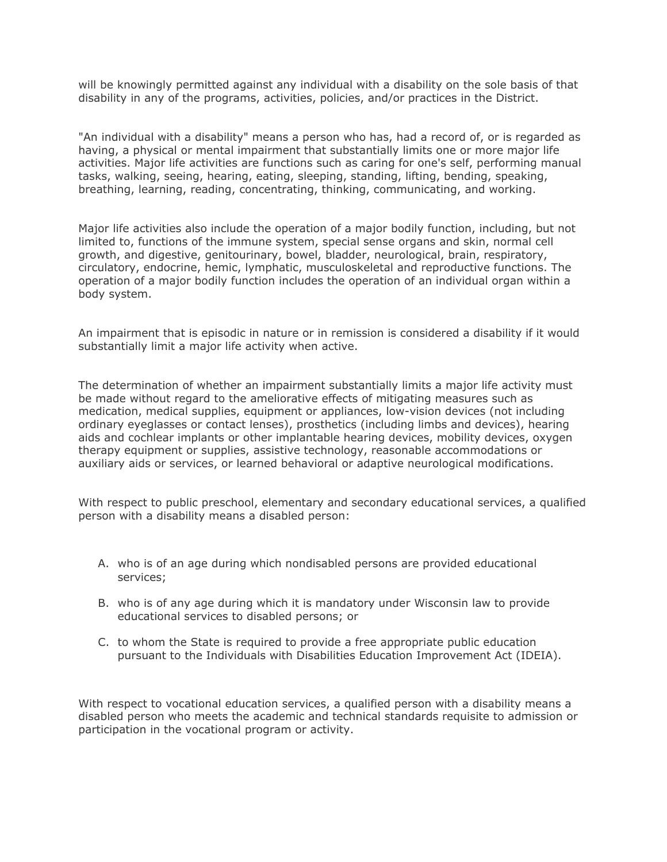will be knowingly permitted against any individual with a disability on the sole basis of that disability in any of the programs, activities, policies, and/or practices in the District.

"An individual with a disability" means a person who has, had a record of, or is regarded as having, a physical or mental impairment that substantially limits one or more major life activities. Major life activities are functions such as caring for one's self, performing manual tasks, walking, seeing, hearing, eating, sleeping, standing, lifting, bending, speaking, breathing, learning, reading, concentrating, thinking, communicating, and working.

Major life activities also include the operation of a major bodily function, including, but not limited to, functions of the immune system, special sense organs and skin, normal cell growth, and digestive, genitourinary, bowel, bladder, neurological, brain, respiratory, circulatory, endocrine, hemic, lymphatic, musculoskeletal and reproductive functions. The operation of a major bodily function includes the operation of an individual organ within a body system.

An impairment that is episodic in nature or in remission is considered a disability if it would substantially limit a major life activity when active.

The determination of whether an impairment substantially limits a major life activity must be made without regard to the ameliorative effects of mitigating measures such as medication, medical supplies, equipment or appliances, low-vision devices (not including ordinary eyeglasses or contact lenses), prosthetics (including limbs and devices), hearing aids and cochlear implants or other implantable hearing devices, mobility devices, oxygen therapy equipment or supplies, assistive technology, reasonable accommodations or auxiliary aids or services, or learned behavioral or adaptive neurological modifications.

With respect to public preschool, elementary and secondary educational services, a qualified person with a disability means a disabled person:

- A. who is of an age during which nondisabled persons are provided educational services;
- B. who is of any age during which it is mandatory under Wisconsin law to provide educational services to disabled persons; or
- C. to whom the State is required to provide a free appropriate public education pursuant to the Individuals with Disabilities Education Improvement Act (IDEIA).

With respect to vocational education services, a qualified person with a disability means a disabled person who meets the academic and technical standards requisite to admission or participation in the vocational program or activity.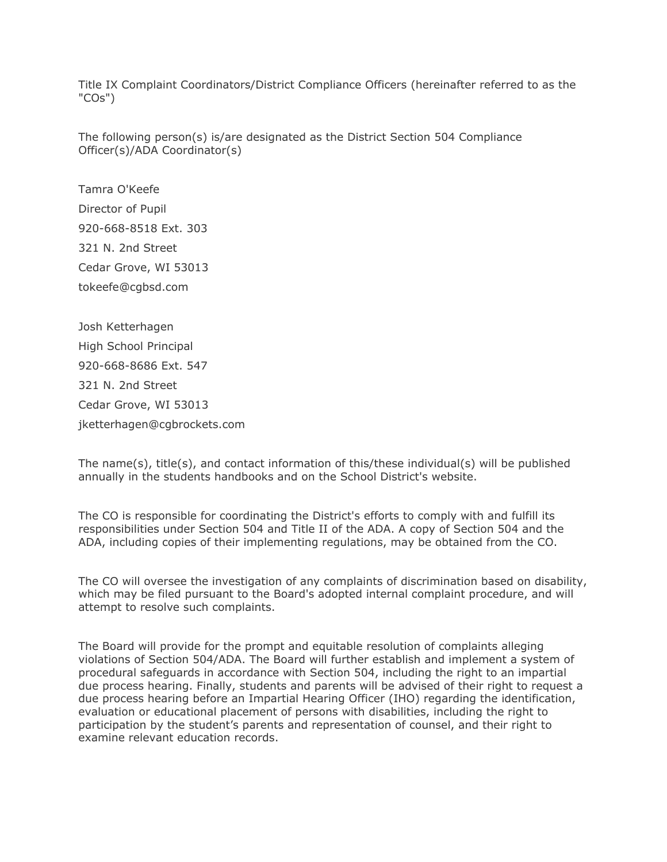Title IX Complaint Coordinators/District Compliance Officers (hereinafter referred to as the "COs")

The following person(s) is/are designated as the District Section 504 Compliance Officer(s)/ADA Coordinator(s)

Tamra O'Keefe Director of Pupil 920-668-8518 Ext. 303 321 N. 2nd Street Cedar Grove, WI 53013 tokeefe@cgbsd.com

Josh Ketterhagen High School Principal 920-668-8686 Ext. 547 321 N. 2nd Street Cedar Grove, WI 53013 jketterhagen@cgbrockets.com

The name(s), title(s), and contact information of this/these individual(s) will be published annually in the students handbooks and on the School District's website.

The CO is responsible for coordinating the District's efforts to comply with and fulfill its responsibilities under Section 504 and Title II of the ADA. A copy of Section 504 and the ADA, including copies of their implementing regulations, may be obtained from the CO.

The CO will oversee the investigation of any complaints of discrimination based on disability, which may be filed pursuant to the Board's adopted internal complaint procedure, and will attempt to resolve such complaints.

The Board will provide for the prompt and equitable resolution of complaints alleging violations of Section 504/ADA. The Board will further establish and implement a system of procedural safeguards in accordance with Section 504, including the right to an impartial due process hearing. Finally, students and parents will be advised of their right to request a due process hearing before an Impartial Hearing Officer (IHO) regarding the identification, evaluation or educational placement of persons with disabilities, including the right to participation by the student's parents and representation of counsel, and their right to examine relevant education records.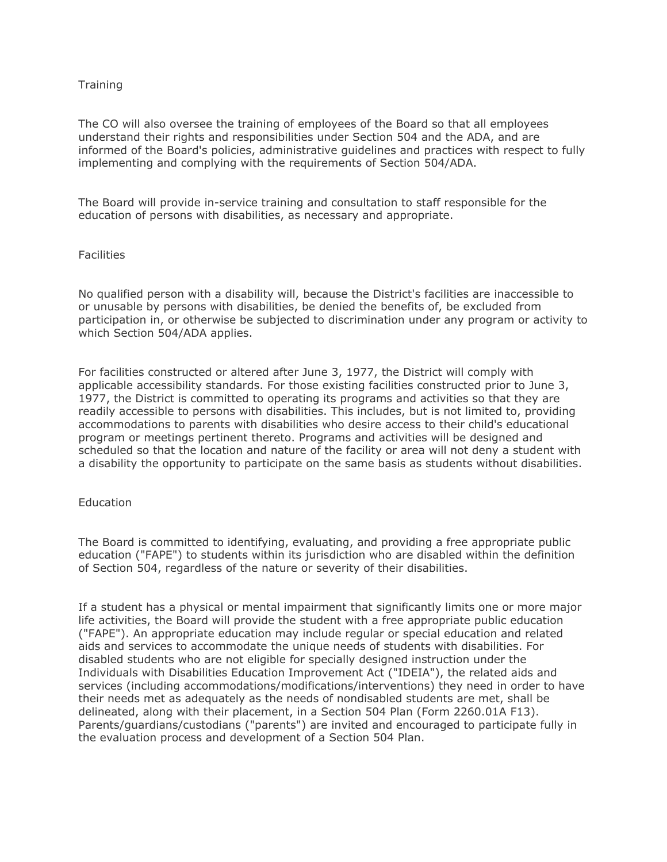## **Training**

The CO will also oversee the training of employees of the Board so that all employees understand their rights and responsibilities under Section 504 and the ADA, and are informed of the Board's policies, administrative guidelines and practices with respect to fully implementing and complying with the requirements of Section 504/ADA.

The Board will provide in-service training and consultation to staff responsible for the education of persons with disabilities, as necessary and appropriate.

## **Facilities**

No qualified person with a disability will, because the District's facilities are inaccessible to or unusable by persons with disabilities, be denied the benefits of, be excluded from participation in, or otherwise be subjected to discrimination under any program or activity to which Section 504/ADA applies.

For facilities constructed or altered after June 3, 1977, the District will comply with applicable accessibility standards. For those existing facilities constructed prior to June 3, 1977, the District is committed to operating its programs and activities so that they are readily accessible to persons with disabilities. This includes, but is not limited to, providing accommodations to parents with disabilities who desire access to their child's educational program or meetings pertinent thereto. Programs and activities will be designed and scheduled so that the location and nature of the facility or area will not deny a student with a disability the opportunity to participate on the same basis as students without disabilities.

### **Education**

The Board is committed to identifying, evaluating, and providing a free appropriate public education ("FAPE") to students within its jurisdiction who are disabled within the definition of Section 504, regardless of the nature or severity of their disabilities.

If a student has a physical or mental impairment that significantly limits one or more major life activities, the Board will provide the student with a free appropriate public education ("FAPE"). An appropriate education may include regular or special education and related aids and services to accommodate the unique needs of students with disabilities. For disabled students who are not eligible for specially designed instruction under the Individuals with Disabilities Education Improvement Act ("IDEIA"), the related aids and services (including accommodations/modifications/interventions) they need in order to have their needs met as adequately as the needs of nondisabled students are met, shall be delineated, along with their placement, in a Section 504 Plan (Form 2260.01A F13). Parents/guardians/custodians ("parents") are invited and encouraged to participate fully in the evaluation process and development of a Section 504 Plan.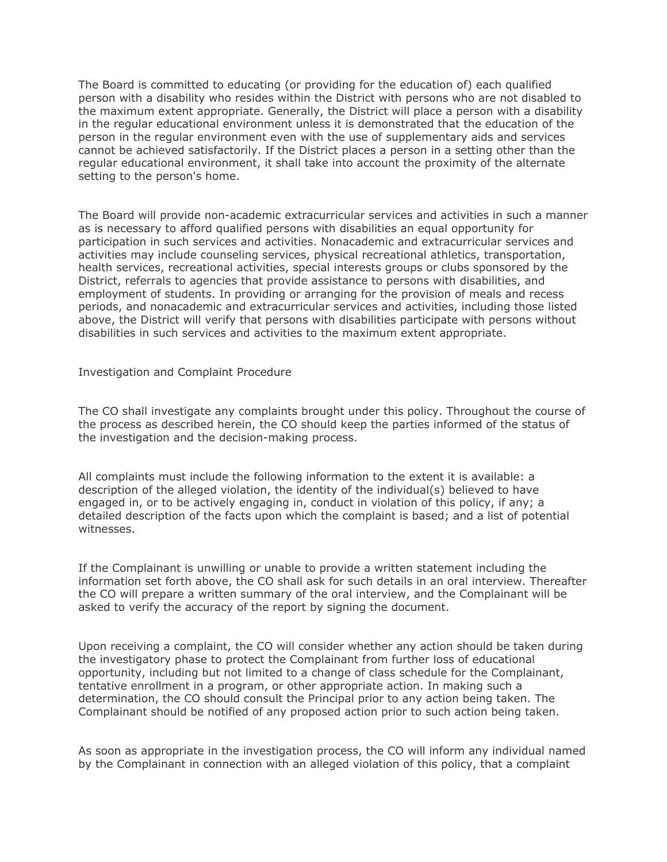The Board is committed to educating (or providing for the education of) each qualified person with a disability who resides within the District with persons who are not disabled to the maximum extent appropriate. Generally, the District will place a person with a disability in the regular educational environment unless it is demonstrated that the education of the person in the regular environment even with the use of supplementary aids and services cannot be achieved satisfactorily. If the District places a person in a setting other than the regular educational environment, it shall take into account the proximity of the alternate setting to the person's home.

The Board will provide non-academic extracurricular services and activities in such a manner as is necessary to afford qualified persons with disabilities an equal opportunity for participation in such services and activities. Nonacademic and extracurricular services and activities may include counseling services, physical recreational athletics, transportation, health services, recreational activities, special interests groups or clubs sponsored by the District, referrals to agencies that provide assistance to persons with disabilities, and employment of students. In providing or arranging for the provision of meals and recess periods, and nonacademic and extracurricular services and activities, including those listed above, the District will verify that persons with disabilities participate with persons without disabilities in such services and activities to the maximum extent appropriate.

Investigation and Complaint Procedure

The CO shall investigate any complaints brought under this policy. Throughout the course of the process as described herein, the CO should keep the parties informed of the status of the investigation and the decision-making process.

All complaints must include the following information to the extent it is available: a description of the alleged violation, the identity of the individual(s) believed to have engaged in, or to be actively engaging in, conduct in violation of this policy, if any; a detailed description of the facts upon which the complaint is based; and a list of potential witnesses.

If the Complainant is unwilling or unable to provide a written statement including the information set forth above, the CO shall ask for such details in an oral interview. Thereafter the CO will prepare a written summary of the oral interview, and the Complainant will be asked to verify the accuracy of the report by signing the document.

Upon receiving a complaint, the CO will consider whether any action should be taken during the investigatory phase to protect the Complainant from further loss of educational opportunity, including but not limited to a change of class schedule for the Complainant, tentative enrollment in a program, or other appropriate action. In making such a determination, the CO should consult the Principal prior to any action being taken. The Complainant should be notified of any proposed action prior to such action being taken.

As soon as appropriate in the investigation process, the CO will inform any individual named by the Complainant in connection with an alleged violation of this policy, that a complaint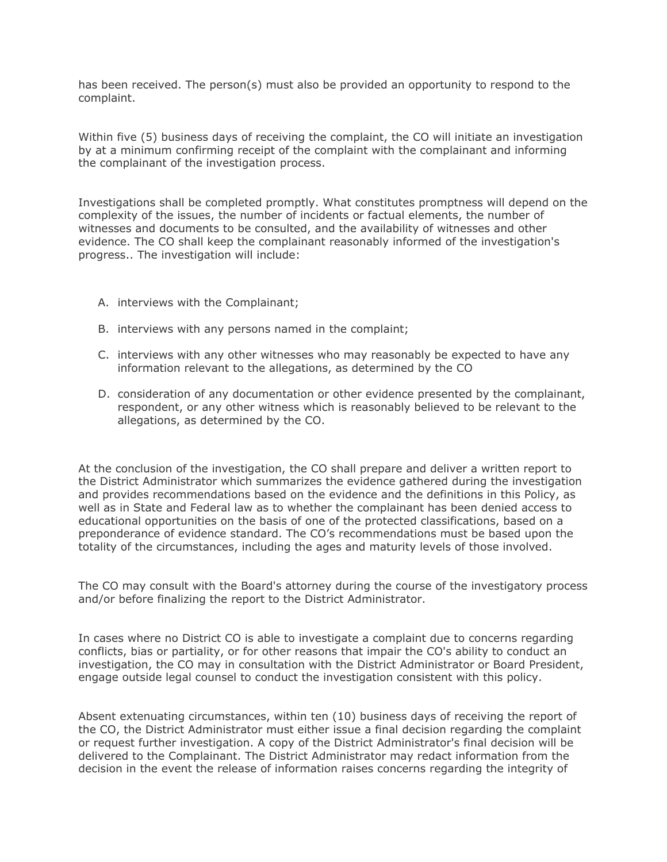has been received. The person(s) must also be provided an opportunity to respond to the complaint.

Within five (5) business days of receiving the complaint, the CO will initiate an investigation by at a minimum confirming receipt of the complaint with the complainant and informing the complainant of the investigation process.

Investigations shall be completed promptly. What constitutes promptness will depend on the complexity of the issues, the number of incidents or factual elements, the number of witnesses and documents to be consulted, and the availability of witnesses and other evidence. The CO shall keep the complainant reasonably informed of the investigation's progress.. The investigation will include:

- A. interviews with the Complainant;
- B. interviews with any persons named in the complaint;
- C. interviews with any other witnesses who may reasonably be expected to have any information relevant to the allegations, as determined by the CO
- D. consideration of any documentation or other evidence presented by the complainant, respondent, or any other witness which is reasonably believed to be relevant to the allegations, as determined by the CO.

At the conclusion of the investigation, the CO shall prepare and deliver a written report to the District Administrator which summarizes the evidence gathered during the investigation and provides recommendations based on the evidence and the definitions in this Policy, as well as in State and Federal law as to whether the complainant has been denied access to educational opportunities on the basis of one of the protected classifications, based on a preponderance of evidence standard. The CO's recommendations must be based upon the totality of the circumstances, including the ages and maturity levels of those involved.

The CO may consult with the Board's attorney during the course of the investigatory process and/or before finalizing the report to the District Administrator.

In cases where no District CO is able to investigate a complaint due to concerns regarding conflicts, bias or partiality, or for other reasons that impair the CO's ability to conduct an investigation, the CO may in consultation with the District Administrator or Board President, engage outside legal counsel to conduct the investigation consistent with this policy.

Absent extenuating circumstances, within ten (10) business days of receiving the report of the CO, the District Administrator must either issue a final decision regarding the complaint or request further investigation. A copy of the District Administrator's final decision will be delivered to the Complainant. The District Administrator may redact information from the decision in the event the release of information raises concerns regarding the integrity of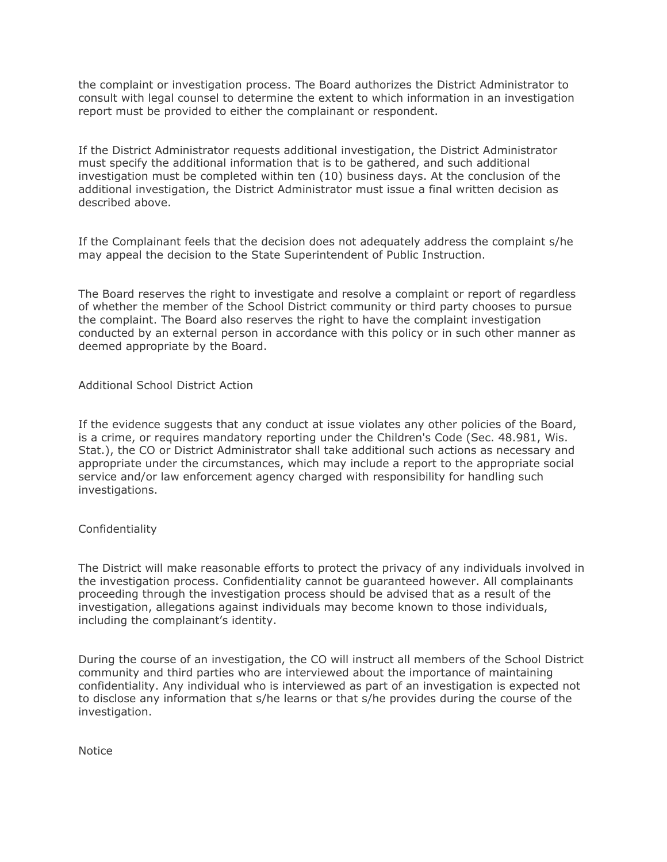the complaint or investigation process. The Board authorizes the District Administrator to consult with legal counsel to determine the extent to which information in an investigation report must be provided to either the complainant or respondent.

If the District Administrator requests additional investigation, the District Administrator must specify the additional information that is to be gathered, and such additional investigation must be completed within ten (10) business days. At the conclusion of the additional investigation, the District Administrator must issue a final written decision as described above.

If the Complainant feels that the decision does not adequately address the complaint s/he may appeal the decision to the State Superintendent of Public Instruction.

The Board reserves the right to investigate and resolve a complaint or report of regardless of whether the member of the School District community or third party chooses to pursue the complaint. The Board also reserves the right to have the complaint investigation conducted by an external person in accordance with this policy or in such other manner as deemed appropriate by the Board.

## Additional School District Action

If the evidence suggests that any conduct at issue violates any other policies of the Board, is a crime, or requires mandatory reporting under the Children's Code (Sec. 48.981, Wis. Stat.), the CO or District Administrator shall take additional such actions as necessary and appropriate under the circumstances, which may include a report to the appropriate social service and/or law enforcement agency charged with responsibility for handling such investigations.

## Confidentiality

The District will make reasonable efforts to protect the privacy of any individuals involved in the investigation process. Confidentiality cannot be guaranteed however. All complainants proceeding through the investigation process should be advised that as a result of the investigation, allegations against individuals may become known to those individuals, including the complainant's identity.

During the course of an investigation, the CO will instruct all members of the School District community and third parties who are interviewed about the importance of maintaining confidentiality. Any individual who is interviewed as part of an investigation is expected not to disclose any information that s/he learns or that s/he provides during the course of the investigation.

Notice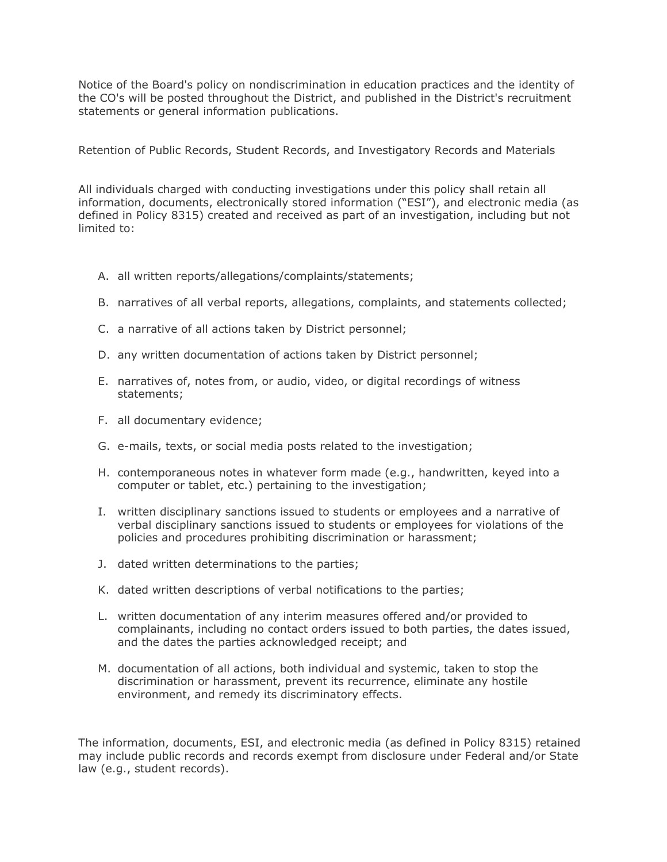Notice of the Board's policy on nondiscrimination in education practices and the identity of the CO's will be posted throughout the District, and published in the District's recruitment statements or general information publications.

Retention of Public Records, Student Records, and Investigatory Records and Materials

All individuals charged with conducting investigations under this policy shall retain all information, documents, electronically stored information ("ESI"), and electronic media (as defined in Policy 8315) created and received as part of an investigation, including but not limited to:

- A. all written reports/allegations/complaints/statements;
- B. narratives of all verbal reports, allegations, complaints, and statements collected;
- C. a narrative of all actions taken by District personnel;
- D. any written documentation of actions taken by District personnel;
- E. narratives of, notes from, or audio, video, or digital recordings of witness statements;
- F. all documentary evidence;
- G. e-mails, texts, or social media posts related to the investigation;
- H. contemporaneous notes in whatever form made (e.g., handwritten, keyed into a computer or tablet, etc.) pertaining to the investigation;
- I. written disciplinary sanctions issued to students or employees and a narrative of verbal disciplinary sanctions issued to students or employees for violations of the policies and procedures prohibiting discrimination or harassment;
- J. dated written determinations to the parties;
- K. dated written descriptions of verbal notifications to the parties;
- L. written documentation of any interim measures offered and/or provided to complainants, including no contact orders issued to both parties, the dates issued, and the dates the parties acknowledged receipt; and
- M. documentation of all actions, both individual and systemic, taken to stop the discrimination or harassment, prevent its recurrence, eliminate any hostile environment, and remedy its discriminatory effects.

The information, documents, ESI, and electronic media (as defined in Policy 8315) retained may include public records and records exempt from disclosure under Federal and/or State law (e.g., student records).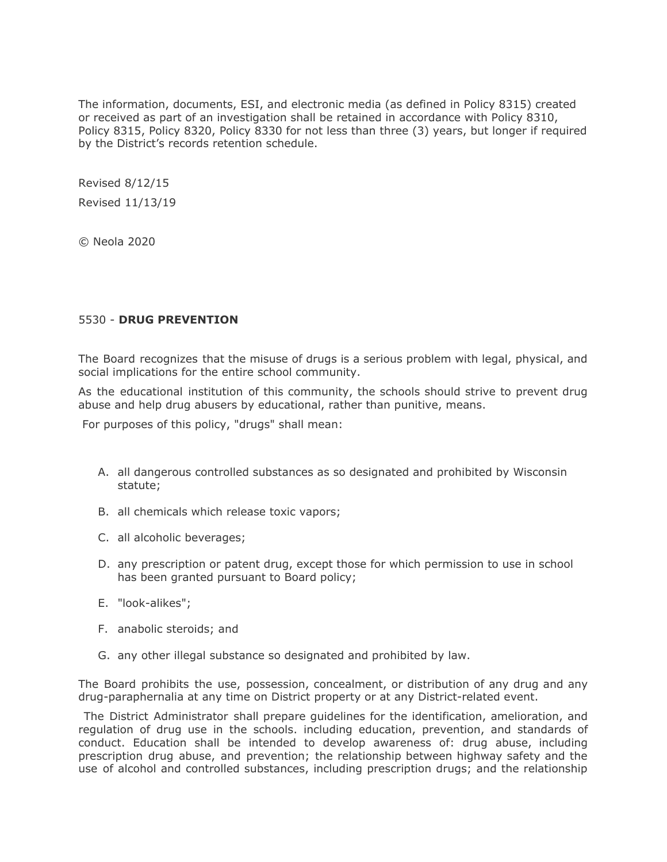The information, documents, ESI, and electronic media (as defined in Policy 8315) created or received as part of an investigation shall be retained in accordance with Policy 8310, Policy 8315, Policy 8320, Policy 8330 for not less than three (3) years, but longer if required by the District's records retention schedule.

Revised 8/12/15 Revised 11/13/19

© Neola 2020

# 5530 - **DRUG PREVENTION**

The Board recognizes that the misuse of drugs is a serious problem with legal, physical, and social implications for the entire school community.

As the educational institution of this community, the schools should strive to prevent drug abuse and help drug abusers by educational, rather than punitive, means.

For purposes of this policy, "drugs" shall mean:

- A. all dangerous controlled substances as so designated and prohibited by Wisconsin statute;
- B. all chemicals which release toxic vapors;
- C. all alcoholic beverages;
- D. any prescription or patent drug, except those for which permission to use in school has been granted pursuant to Board policy;
- E. "look-alikes";
- F. anabolic steroids; and
- G. any other illegal substance so designated and prohibited by law.

The Board prohibits the use, possession, concealment, or distribution of any drug and any drug-paraphernalia at any time on District property or at any District-related event.

The District Administrator shall prepare guidelines for the identification, amelioration, and regulation of drug use in the schools. including education, prevention, and standards of conduct. Education shall be intended to develop awareness of: drug abuse, including prescription drug abuse, and prevention; the relationship between highway safety and the use of alcohol and controlled substances, including prescription drugs; and the relationship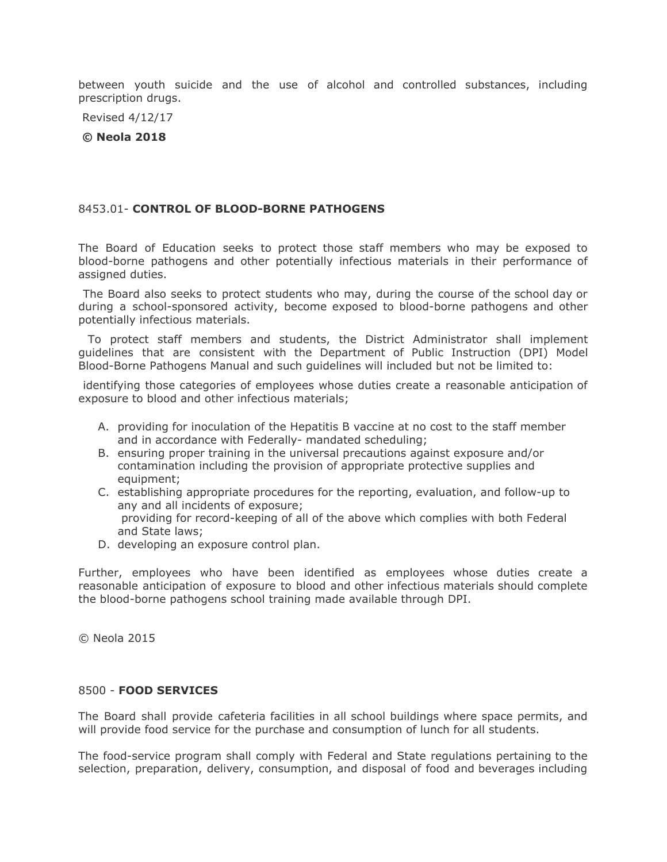between youth suicide and the use of alcohol and controlled substances, including prescription drugs.

Revised 4/12/17

**© Neola 2018**

## 8453.01- **CONTROL OF BLOOD-BORNE PATHOGENS**

The Board of Education seeks to protect those staff members who may be exposed to blood-borne pathogens and other potentially infectious materials in their performance of assigned duties.

The Board also seeks to protect students who may, during the course of the school day or during a school-sponsored activity, become exposed to blood-borne pathogens and other potentially infectious materials.

To protect staff members and students, the District Administrator shall implement guidelines that are consistent with the Department of Public Instruction (DPI) Model Blood-Borne Pathogens Manual and such guidelines will included but not be limited to:

identifying those categories of employees whose duties create a reasonable anticipation of exposure to blood and other infectious materials;

- A. providing for inoculation of the Hepatitis B vaccine at no cost to the staff member and in accordance with Federally- mandated scheduling;
- B. ensuring proper training in the universal precautions against exposure and/or contamination including the provision of appropriate protective supplies and equipment;
- C. establishing appropriate procedures for the reporting, evaluation, and follow-up to any and all incidents of exposure; providing for record-keeping of all of the above which complies with both Federal and State laws;
- D. developing an exposure control plan.

Further, employees who have been identified as employees whose duties create a reasonable anticipation of exposure to blood and other infectious materials should complete the blood-borne pathogens school training made available through DPI.

© Neola 2015

## 8500 - **FOOD SERVICES**

The Board shall provide cafeteria facilities in all school buildings where space permits, and will provide food service for the purchase and consumption of lunch for all students.

The food-service program shall comply with Federal and State regulations pertaining to the selection, preparation, delivery, consumption, and disposal of food and beverages including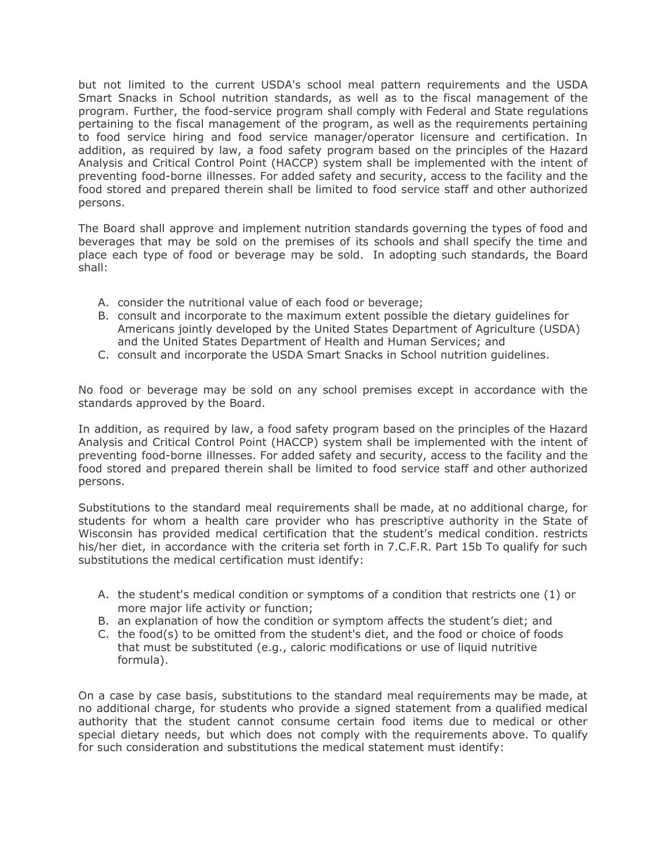but not limited to the current USDA's school meal pattern requirements and the USDA Smart Snacks in School nutrition standards, as well as to the fiscal management of the program. Further, the food-service program shall comply with Federal and State regulations pertaining to the fiscal management of the program, as well as the requirements pertaining to food service hiring and food service manager/operator licensure and certification. In addition, as required by law, a food safety program based on the principles of the Hazard Analysis and Critical Control Point (HACCP) system shall be implemented with the intent of preventing food-borne illnesses. For added safety and security, access to the facility and the food stored and prepared therein shall be limited to food service staff and other authorized persons.

The Board shall approve and implement nutrition standards governing the types of food and beverages that may be sold on the premises of its schools and shall specify the time and place each type of food or beverage may be sold. In adopting such standards, the Board shall:

- A. consider the nutritional value of each food or beverage;
- B. consult and incorporate to the maximum extent possible the dietary guidelines for Americans jointly developed by the United States Department of Agriculture (USDA) and the United States Department of Health and Human Services; and
- C. consult and incorporate the USDA Smart Snacks in School nutrition guidelines.

No food or beverage may be sold on any school premises except in accordance with the standards approved by the Board.

In addition, as required by law, a food safety program based on the principles of the Hazard Analysis and Critical Control Point (HACCP) system shall be implemented with the intent of preventing food-borne illnesses. For added safety and security, access to the facility and the food stored and prepared therein shall be limited to food service staff and other authorized persons.

Substitutions to the standard meal requirements shall be made, at no additional charge, for students for whom a health care provider who has prescriptive authority in the State of Wisconsin has provided medical certification that the student's medical condition. restricts his/her diet, in accordance with the criteria set forth in 7.C.F.R. Part 15b To qualify for such substitutions the medical certification must identify:

- A. the student's medical condition or symptoms of a condition that restricts one (1) or more major life activity or function;
- B. an explanation of how the condition or symptom affects the student's diet; and
- C. the food(s) to be omitted from the student's diet, and the food or choice of foods that must be substituted (e.g., caloric modifications or use of liquid nutritive formula).

On a case by case basis, substitutions to the standard meal requirements may be made, at no additional charge, for students who provide a signed statement from a qualified medical authority that the student cannot consume certain food items due to medical or other special dietary needs, but which does not comply with the requirements above. To qualify for such consideration and substitutions the medical statement must identify: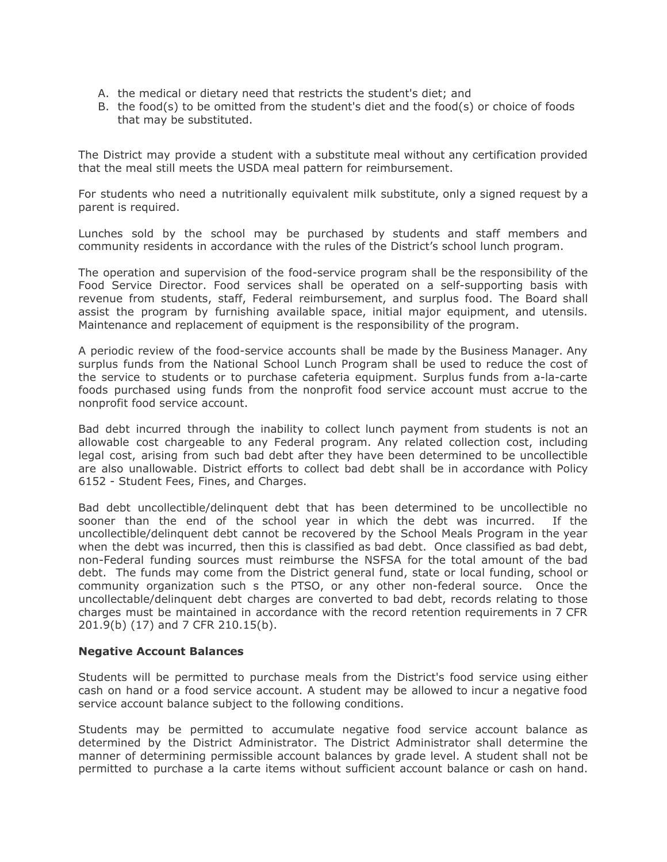- A. the medical or dietary need that restricts the student's diet; and
- B. the food(s) to be omitted from the student's diet and the food(s) or choice of foods that may be substituted.

The District may provide a student with a substitute meal without any certification provided that the meal still meets the USDA meal pattern for reimbursement.

For students who need a nutritionally equivalent milk substitute, only a signed request by a parent is required.

Lunches sold by the school may be purchased by students and staff members and community residents in accordance with the rules of the District's school lunch program.

The operation and supervision of the food-service program shall be the responsibility of the Food Service Director. Food services shall be operated on a self-supporting basis with revenue from students, staff, Federal reimbursement, and surplus food. The Board shall assist the program by furnishing available space, initial major equipment, and utensils. Maintenance and replacement of equipment is the responsibility of the program.

A periodic review of the food-service accounts shall be made by the Business Manager. Any surplus funds from the National School Lunch Program shall be used to reduce the cost of the service to students or to purchase cafeteria equipment. Surplus funds from a-la-carte foods purchased using funds from the nonprofit food service account must accrue to the nonprofit food service account.

Bad debt incurred through the inability to collect lunch payment from students is not an allowable cost chargeable to any Federal program. Any related collection cost, including legal cost, arising from such bad debt after they have been determined to be uncollectible are also unallowable. District efforts to collect bad debt shall be in accordance with Policy 6152 - Student Fees, Fines, and Charges.

Bad debt uncollectible/delinquent debt that has been determined to be uncollectible no sooner than the end of the school year in which the debt was incurred. If the uncollectible/delinquent debt cannot be recovered by the School Meals Program in the year when the debt was incurred, then this is classified as bad debt. Once classified as bad debt, non-Federal funding sources must reimburse the NSFSA for the total amount of the bad debt. The funds may come from the District general fund, state or local funding, school or community organization such s the PTSO, or any other non-federal source. Once the uncollectable/delinquent debt charges are converted to bad debt, records relating to those charges must be maintained in accordance with the record retention requirements in 7 CFR 201.9(b) (17) and 7 CFR 210.15(b).

#### **Negative Account Balances**

Students will be permitted to purchase meals from the District's food service using either cash on hand or a food service account. A student may be allowed to incur a negative food service account balance subject to the following conditions.

Students may be permitted to accumulate negative food service account balance as determined by the District Administrator. The District Administrator shall determine the manner of determining permissible account balances by grade level. A student shall not be permitted to purchase a la carte items without sufficient account balance or cash on hand.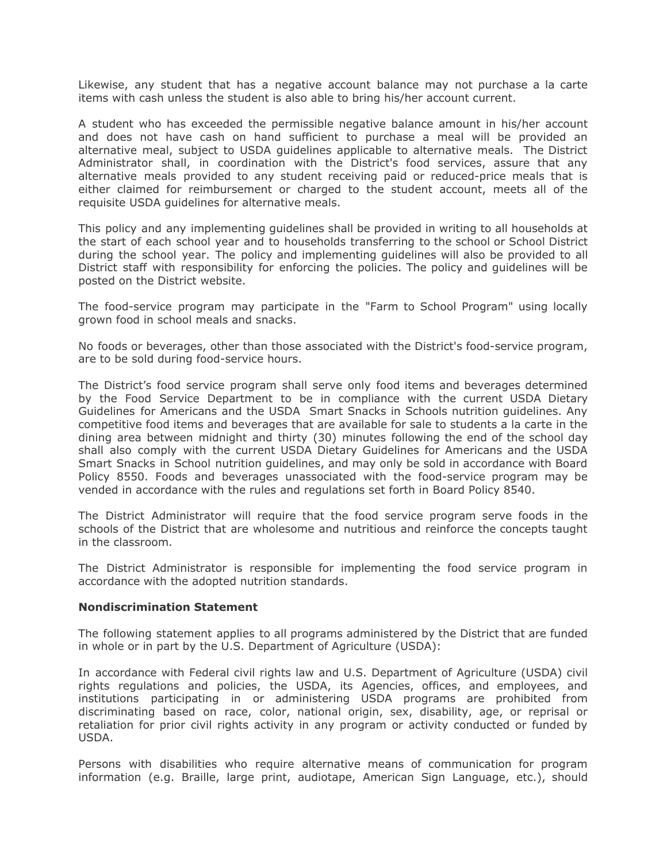Likewise, any student that has a negative account balance may not purchase a la carte items with cash unless the student is also able to bring his/her account current.

A student who has exceeded the permissible negative balance amount in his/her account and does not have cash on hand sufficient to purchase a meal will be provided an alternative meal, subject to USDA guidelines applicable to alternative meals. The District Administrator shall, in coordination with the District's food services, assure that any alternative meals provided to any student receiving paid or reduced-price meals that is either claimed for reimbursement or charged to the student account, meets all of the requisite USDA guidelines for alternative meals.

This policy and any implementing guidelines shall be provided in writing to all households at the start of each school year and to households transferring to the school or School District during the school year. The policy and implementing guidelines will also be provided to all District staff with responsibility for enforcing the policies. The policy and guidelines will be posted on the District website.

The food-service program may participate in the "Farm to School Program" using locally grown food in school meals and snacks.

No foods or beverages, other than those associated with the District's food-service program, are to be sold during food-service hours.

The District's food service program shall serve only food items and beverages determined by the Food Service Department to be in compliance with the current USDA Dietary Guidelines for Americans and the USDA Smart Snacks in Schools nutrition guidelines. Any competitive food items and beverages that are available for sale to students a la carte in the dining area between midnight and thirty (30) minutes following the end of the school day shall also comply with the current USDA Dietary Guidelines for Americans and the USDA Smart Snacks in School nutrition guidelines, and may only be sold in accordance with Board Policy 8550. Foods and beverages unassociated with the food-service program may be vended in accordance with the rules and regulations set forth in Board Policy 8540.

The District Administrator will require that the food service program serve foods in the schools of the District that are wholesome and nutritious and reinforce the concepts taught in the classroom.

The District Administrator is responsible for implementing the food service program in accordance with the adopted nutrition standards.

#### **Nondiscrimination Statement**

The following statement applies to all programs administered by the District that are funded in whole or in part by the U.S. Department of Agriculture (USDA):

In accordance with Federal civil rights law and U.S. Department of Agriculture (USDA) civil rights regulations and policies, the USDA, its Agencies, offices, and employees, and institutions participating in or administering USDA programs are prohibited from discriminating based on race, color, national origin, sex, disability, age, or reprisal or retaliation for prior civil rights activity in any program or activity conducted or funded by USDA.

Persons with disabilities who require alternative means of communication for program information (e.g. Braille, large print, audiotape, American Sign Language, etc.), should